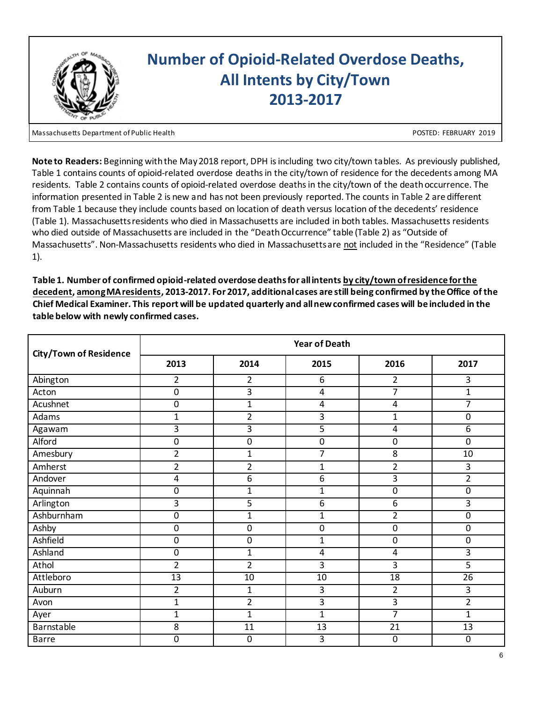

Massachusetts Department of Public Health POSTED: FEBRUARY 2019

**Note to Readers:** Beginning with the May 2018 report, DPH is including two city/town tables. As previously published, Table 1 contains counts of opioid-related overdose deaths in the city/town of residence for the decedents among MA residents. Table 2 contains counts of opioid-related overdose deaths in the city/town of the death occurrence. The information presented in Table 2 is new and has not been previously reported. The counts in Table 2 are different from Table 1 because they include counts based on location of death versus location of the decedents' residence (Table 1). Massachusetts residents who died in Massachusetts are included in both tables. Massachusetts residents who died outside of Massachusetts are included in the "Death Occurrence" table (Table 2) as "Outside of Massachusetts". Non-Massachusetts residents who died in Massachusetts are not included in the "Residence" (Table 1).

| <b>City/Town of Residence</b> | <b>Year of Death</b> |                |                |                  |                  |  |  |
|-------------------------------|----------------------|----------------|----------------|------------------|------------------|--|--|
|                               | 2013                 | 2014           | 2015           | 2016             | 2017             |  |  |
| Abington                      | $\overline{2}$       | $\overline{2}$ | 6              | $\overline{2}$   | 3                |  |  |
| Acton                         | $\mathbf 0$          | 3              | $\overline{4}$ | 7                | $\mathbf{1}$     |  |  |
| Acushnet                      | $\overline{0}$       | $\mathbf{1}$   | 4              | 4                | 7                |  |  |
| Adams                         | $\mathbf{1}$         | $\overline{2}$ | 3              | $\overline{1}$   | $\mathbf 0$      |  |  |
| Agawam                        | 3                    | 3              | 5              | 4                | 6                |  |  |
| Alford                        | $\pmb{0}$            | $\pmb{0}$      | $\pmb{0}$      | $\boldsymbol{0}$ | $\mathbf 0$      |  |  |
| Amesbury                      | $\overline{2}$       | $\mathbf{1}$   | $\overline{7}$ | 8                | 10               |  |  |
| Amherst                       | $\overline{2}$       | $\overline{2}$ | 1              | $\overline{2}$   | 3                |  |  |
| Andover                       | 4                    | 6              | 6              | 3                | $\overline{2}$   |  |  |
| Aquinnah                      | $\overline{0}$       | $\mathbf{1}$   | $\mathbf{1}$   | $\overline{0}$   | $\overline{0}$   |  |  |
| Arlington                     | 3                    | 5              | 6              | 6                | 3                |  |  |
| Ashburnham                    | $\mathbf 0$          | $\mathbf{1}$   | $\mathbf 1$    | $\overline{2}$   | $\boldsymbol{0}$ |  |  |
| Ashby                         | $\pmb{0}$            | $\pmb{0}$      | $\pmb{0}$      | $\mathbf 0$      | $\pmb{0}$        |  |  |
| Ashfield                      | $\mathbf 0$          | 0              | $\mathbf{1}$   | $\boldsymbol{0}$ | $\mathbf 0$      |  |  |
| Ashland                       | $\pmb{0}$            | $\mathbf{1}$   | $\overline{4}$ | 4                | 3                |  |  |
| Athol                         | $\overline{2}$       | $\overline{2}$ | 3              | 3                | 5                |  |  |
| Attleboro                     | 13                   | 10             | 10             | 18               | $\overline{26}$  |  |  |
| Auburn                        | $\overline{2}$       | $\mathbf{1}$   | 3              | $\overline{2}$   | 3                |  |  |
| Avon                          | $\mathbf{1}$         | $\overline{2}$ | 3              | 3                | $\overline{2}$   |  |  |
| Ayer                          | $\mathbf{1}$         | $\mathbf{1}$   | $\mathbf{1}$   | $\overline{7}$   | $\mathbf{1}$     |  |  |
| Barnstable                    | 8                    | 11             | 13             | 21               | 13               |  |  |
| <b>Barre</b>                  | 0                    | $\mathbf 0$    | 3              | $\mathbf 0$      | $\mathbf 0$      |  |  |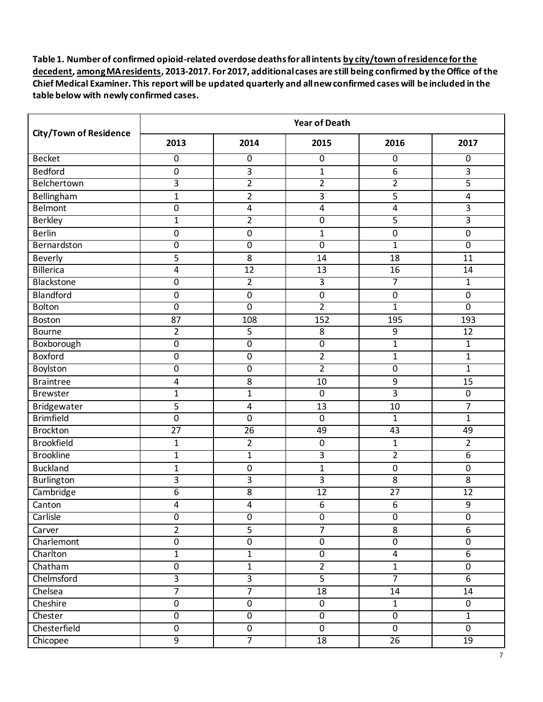|                               | <b>Year of Death</b> |                 |                         |                 |                  |  |
|-------------------------------|----------------------|-----------------|-------------------------|-----------------|------------------|--|
| <b>City/Town of Residence</b> | 2013                 | 2014            | 2015                    | 2016            | 2017             |  |
| <b>Becket</b>                 | $\overline{0}$       | $\overline{0}$  | 0                       | 0               | $\overline{0}$   |  |
| <b>Bedford</b>                | $\pmb{0}$            | 3               | $\mathbf{1}$            | 6               | 3                |  |
| Belchertown                   | $\overline{3}$       | $\overline{2}$  | $\overline{2}$          | $\overline{2}$  | 5                |  |
| Bellingham                    | $\mathbf{1}$         | $\overline{2}$  | 3                       | 5               | 4                |  |
| Belmont                       | $\pmb{0}$            | 4               | $\overline{\mathbf{4}}$ | 4               | 3                |  |
| <b>Berkley</b>                | $\mathbf{1}$         | $\overline{2}$  | $\overline{0}$          | 5               | 3                |  |
| <b>Berlin</b>                 | $\mathbf 0$          | 0               | $\mathbf{1}$            | 0               | $\mathbf 0$      |  |
| Bernardston                   | $\mathbf 0$          | $\overline{0}$  | $\overline{0}$          | $\overline{1}$  | $\overline{0}$   |  |
| Beverly                       | 5                    | 8               | 14                      | 18              | 11               |  |
| <b>Billerica</b>              | 4                    | 12              | 13                      | 16              | 14               |  |
| Blackstone                    | $\pmb{0}$            | $\overline{2}$  | $\overline{\mathbf{3}}$ | 7               | 1                |  |
| Blandford                     | $\mathbf 0$          | $\mathbf 0$     | $\pmb{0}$               | $\mathbf 0$     | $\pmb{0}$        |  |
| <b>Bolton</b>                 | $\overline{0}$       | 0               | $\overline{2}$          | $\overline{1}$  | $\overline{0}$   |  |
| Boston                        | 87                   | 108             | 152                     | 195             | 193              |  |
| <b>Bourne</b>                 | $\overline{2}$       | 5               | 8                       | 9               | 12               |  |
| Boxborough                    | $\overline{0}$       | $\overline{0}$  | $\overline{0}$          | $\mathbf 1$     | $\overline{1}$   |  |
| Boxford                       | $\pmb{0}$            | $\pmb{0}$       | $\overline{2}$          | $\mathbf{1}$    | $\mathbf{1}$     |  |
| Boylston                      | $\overline{0}$       | $\overline{0}$  | $\overline{2}$          | 0               | $\mathbf{1}$     |  |
| <b>Braintree</b>              | 4                    | 8               | 10                      | 9               | 15               |  |
| <b>Brewster</b>               | $\mathbf{1}$         | $\mathbf{1}$    | $\pmb{0}$               | 3               | $\pmb{0}$        |  |
| Bridgewater                   | 5                    | 4               | 13                      | 10              | 7                |  |
| <b>Brimfield</b>              | $\pmb{0}$            | $\pmb{0}$       | $\pmb{0}$               | $\mathbf{1}$    | $\mathbf{1}$     |  |
| <b>Brockton</b>               | $\overline{27}$      | $\overline{26}$ | 49                      | $\overline{43}$ | 49               |  |
| <b>Brookfield</b>             | $\mathbf{1}$         | 2               | $\pmb{0}$               | 1               | 2                |  |
| <b>Brookline</b>              | $\mathbf{1}$         | $\mathbf{1}$    | $\overline{3}$          | $\overline{2}$  | $\overline{6}$   |  |
| <b>Buckland</b>               | $\mathbf{1}$         | $\mathbf 0$     | $\mathbf{1}$            | $\mathbf 0$     | $\pmb{0}$        |  |
| Burlington                    | 3                    | 3               | 3                       | 8               | 8                |  |
| Cambridge                     | 6                    | 8               | 12                      | 27              | 12               |  |
| Canton                        | 4                    | 4               | 6                       | 6               | 9                |  |
| Carlisle                      | $\overline{0}$       | $\overline{0}$  | $\overline{0}$          | $\overline{0}$  | $\overline{0}$   |  |
| Carver                        | $\overline{2}$       | 5               | $\overline{7}$          | 8               | 6                |  |
| Charlemont                    | $\mathbf 0$          | 0               | $\pmb{0}$               | $\pmb{0}$       | $\mathbf 0$      |  |
| Charlton                      | $\overline{1}$       | $\overline{1}$  | $\overline{0}$          | $\overline{4}$  | $6\overline{6}$  |  |
| Chatham                       | $\pmb{0}$            | $\mathbf 1$     | $\overline{2}$          | $\mathbf{1}$    | $\boldsymbol{0}$ |  |
| Chelmsford                    | $\overline{3}$       | $\overline{3}$  | $\overline{5}$          | $\overline{7}$  | $\overline{6}$   |  |
| Chelsea                       | $\overline{7}$       | $\overline{7}$  | 18                      | $14\,$          | 14               |  |
| Cheshire                      | $\pmb{0}$            | $\pmb{0}$       | $\mathbf 0$             | $\mathbf{1}$    | $\mathbf 0$      |  |
| Chester                       | $\overline{0}$       | $\overline{0}$  | $\overline{0}$          | $\overline{0}$  | $\overline{1}$   |  |
| Chesterfield                  | $\pmb{0}$            | $\mathbf 0$     | $\pmb{0}$               | $\mathbf 0$     | $\mathbf 0$      |  |
| Chicopee                      | $\overline{9}$       | $\overline{7}$  | $\overline{18}$         | $\overline{26}$ | 19               |  |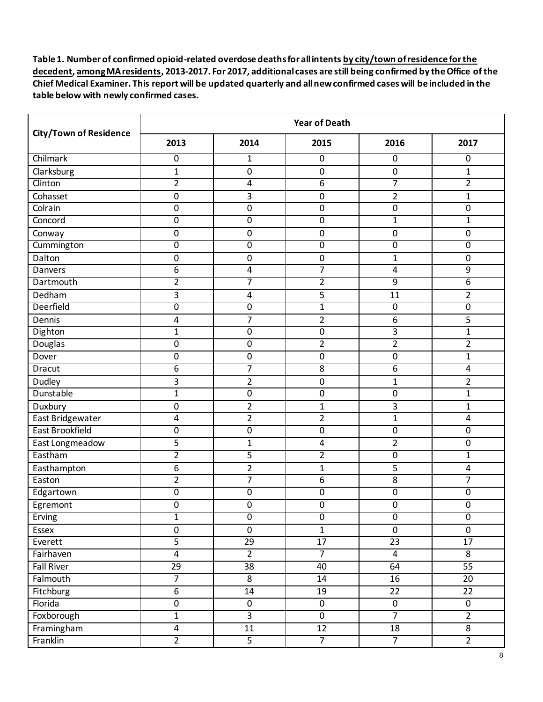|                               | <b>Year of Death</b>    |                  |                  |                 |                  |  |
|-------------------------------|-------------------------|------------------|------------------|-----------------|------------------|--|
| <b>City/Town of Residence</b> | 2013                    | 2014             | 2015             | 2016            | 2017             |  |
| Chilmark                      | $\overline{0}$          | 1                | 0                | 0               | $\overline{0}$   |  |
| Clarksburg                    | $\mathbf{1}$            | $\pmb{0}$        | $\pmb{0}$        | $\pmb{0}$       | $\mathbf 1$      |  |
| Clinton                       | $\overline{2}$          | 4                | 6                | 7               | $\overline{2}$   |  |
| Cohasset                      | $\mathbf 0$             | 3                | 0                | $\overline{2}$  | $\mathbf{1}$     |  |
| Colrain                       | $\pmb{0}$               | $\pmb{0}$        | 0                | 0               | $\pmb{0}$        |  |
| Concord                       | $\overline{0}$          | 0                | $\overline{0}$   | $\mathbf{1}$    | 1                |  |
| Conway                        | $\mathbf 0$             | 0                | 0                | 0               | 0                |  |
| Cummington                    | $\mathbf 0$             | 0                | $\overline{0}$   | $\overline{0}$  | $\overline{0}$   |  |
| Dalton                        | 0                       | 0                | 0                | $\mathbf{1}$    | 0                |  |
| Danvers                       | 6                       | 4                | 7                | 4               | 9                |  |
| Dartmouth                     | $\overline{2}$          | 7                | $\overline{2}$   | $\overline{9}$  | 6                |  |
| Dedham                        | 3                       | 4                | 5                | 11              | $\overline{2}$   |  |
| <b>Deerfield</b>              | $\overline{0}$          | $\overline{0}$   | $\overline{1}$   | 0               | $\overline{0}$   |  |
| Dennis                        | 4                       | 7                | $\overline{2}$   | 6               | 5                |  |
| Dighton                       | $\mathbf{1}$            | 0                | 0                | 3               | 1                |  |
| <b>Douglas</b>                | $\overline{0}$          | $\boldsymbol{0}$ | $\overline{2}$   | $\overline{2}$  | $\overline{2}$   |  |
| Dover                         | $\mathbf 0$             | $\boldsymbol{0}$ | $\pmb{0}$        | 0               | 1                |  |
| <b>Dracut</b>                 | $\overline{6}$          | 7                | $\overline{8}$   | $\overline{6}$  | 4                |  |
| Dudley                        | 3                       | $\overline{2}$   | $\boldsymbol{0}$ | $\overline{1}$  | $\overline{2}$   |  |
| Dunstable                     | $\mathbf{1}$            | $\mathbf 0$      | 0                | 0               | $\mathbf{1}$     |  |
| Duxbury                       | $\mathbf 0$             | $\overline{2}$   | $\mathbf{1}$     | 3               | 1                |  |
| East Bridgewater              | 4                       | $\overline{2}$   | $\overline{2}$   | $\mathbf{1}$    | $\overline{4}$   |  |
| <b>East Brookfield</b>        | $\mathbf 0$             | $\boldsymbol{0}$ | $\overline{0}$   | 0               | 0                |  |
| East Longmeadow               | 5                       | $\mathbf{1}$     | 4                | $\overline{2}$  | $\boldsymbol{0}$ |  |
| Eastham                       | $\overline{2}$          | 5                | $\overline{2}$   | 0               | $\mathbf{1}$     |  |
| Easthampton                   | 6                       | $\overline{2}$   | $\mathbf{1}$     | 5               | 4                |  |
| Easton                        | $\overline{2}$          | 7                | 6                | 8               | 7                |  |
| Edgartown                     | 0                       | 0                | $\pmb{0}$        | 0               | $\pmb{0}$        |  |
| Egremont                      | 0                       | 0                | 0                | $\mathbf 0$     | 0                |  |
| Erving                        | $\overline{1}$          | $\overline{0}$   | $\overline{0}$   | $\overline{0}$  | $\overline{0}$   |  |
| Essex                         | $\pmb{0}$               | $\mathbf 0$      | $\mathbf{1}$     | $\mathbf 0$     | $\mathbf 0$      |  |
| Everett                       | $\overline{5}$          | $\overline{29}$  | $\overline{17}$  | $\overline{23}$ | $\overline{17}$  |  |
| Fairhaven                     | $\overline{4}$          | $\overline{2}$   | $\overline{7}$   | $\overline{4}$  | $\overline{8}$   |  |
| Fall River                    | 29                      | 38               | 40               | 64              | $\overline{55}$  |  |
| Falmouth                      | $\overline{7}$          | $\overline{8}$   | 14               | 16              | 20               |  |
| Fitchburg                     | $\overline{6}$          | $14\,$           | 19               | 22              | 22               |  |
| Florida                       | $\pmb{0}$               | $\mathbf 0$      | $\pmb{0}$        | $\mathbf 0$     | $\mathbf 0$      |  |
| Foxborough                    | $\overline{1}$          | $\overline{3}$   | $\overline{0}$   | $\overline{7}$  | $\overline{2}$   |  |
| Framingham                    | $\overline{\mathbf{4}}$ | 11               | 12               | 18              | 8                |  |
| Franklin                      | $\overline{2}$          | $\overline{5}$   | $\overline{7}$   | $\overline{7}$  | $\overline{2}$   |  |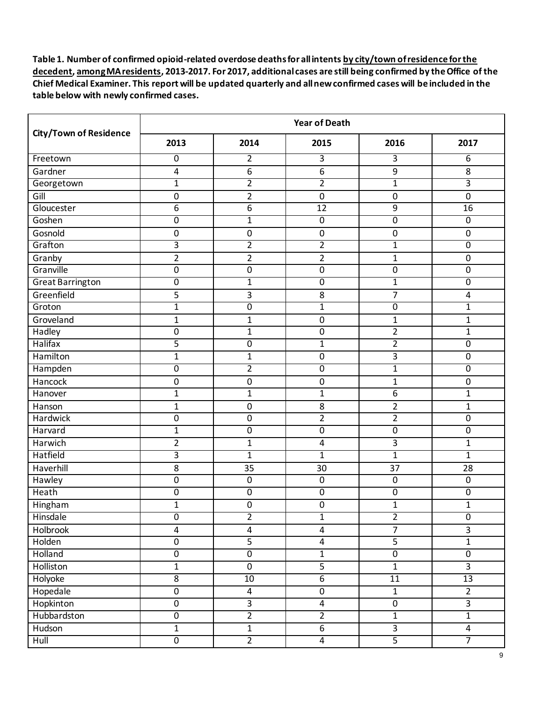|                               | <b>Year of Death</b> |                         |                         |                |                         |  |  |
|-------------------------------|----------------------|-------------------------|-------------------------|----------------|-------------------------|--|--|
| <b>City/Town of Residence</b> | 2013                 | 2014                    | 2015                    | 2016           | 2017                    |  |  |
| Freetown                      | $\mathbf 0$          | $\overline{2}$          | $\overline{3}$          | 3              | 6                       |  |  |
| Gardner                       | 4                    | 6                       | 6                       | 9              | 8                       |  |  |
| Georgetown                    | $\mathbf{1}$         | $\overline{2}$          | $\overline{2}$          | $\mathbf{1}$   | 3                       |  |  |
| Gill                          | $\mathbf 0$          | $\overline{2}$          | $\boldsymbol{0}$        | $\mathbf 0$    | $\mathbf 0$             |  |  |
| Gloucester                    | 6                    | 6                       | 12                      | 9              | 16                      |  |  |
| Goshen                        | $\pmb{0}$            | $\mathbf{1}$            | $\overline{0}$          | $\overline{0}$ | $\mathbf 0$             |  |  |
| Gosnold                       | $\mathbf 0$          | $\mathbf 0$             | 0                       | 0              | $\mathbf 0$             |  |  |
| Grafton                       | 3                    | $\overline{2}$          | $\overline{2}$          | $\mathbf 1$    | $\overline{0}$          |  |  |
| Granby                        | $\overline{2}$       | 2                       | $\overline{2}$          | $\mathbf{1}$   | 0                       |  |  |
| Granville                     | $\mathbf 0$          | 0                       | 0                       | 0              | $\mathbf 0$             |  |  |
| <b>Great Barrington</b>       | $\overline{0}$       | $\mathbf{1}$            | $\overline{0}$          | $\mathbf 1$    | $\overline{0}$          |  |  |
| Greenfield                    | 5                    | 3                       | 8                       | $\overline{7}$ | 4                       |  |  |
| Groton                        | $\mathbf{1}$         | $\overline{0}$          | $\overline{1}$          | 0              | $\mathbf{1}$            |  |  |
| Groveland                     | $\mathbf{1}$         | $\mathbf{1}$            | $\pmb{0}$               | $\mathbf 1$    | $\mathbf{1}$            |  |  |
| Hadley                        | $\pmb{0}$            | $\mathbf{1}$            | $\pmb{0}$               | $\overline{2}$ | 1                       |  |  |
| <b>Halifax</b>                | 5                    | $\overline{0}$          | $\mathbf{1}$            | $\overline{2}$ | $\overline{0}$          |  |  |
| Hamilton                      | $\mathbf 1$          | $\mathbf{1}$            | $\pmb{0}$               | 3              | $\pmb{0}$               |  |  |
| Hampden                       | $\mathbf 0$          | $\overline{2}$          | $\overline{0}$          | $\mathbf{1}$   | 0                       |  |  |
| Hancock                       | $\pmb{0}$            | $\pmb{0}$               | $\pmb{0}$               | $\mathbf{1}$   | 0                       |  |  |
| Hanover                       | $\mathbf{1}$         | $\mathbf{1}$            | $\mathbf{1}$            | 6              | $\mathbf{1}$            |  |  |
| Hanson                        | $\mathbf{1}$         | $\boldsymbol{0}$        | 8                       | $\overline{2}$ | 1                       |  |  |
| <b>Hardwick</b>               | $\mathbf 0$          | $\pmb{0}$               | $\overline{2}$          | $\overline{2}$ | $\boldsymbol{0}$        |  |  |
| Harvard                       | $\mathbf{1}$         | $\boldsymbol{0}$        | $\overline{0}$          | $\mathbf 0$    | 0                       |  |  |
| Harwich                       | $\overline{2}$       | $\mathbf{1}$            | 4                       | 3              | $\mathbf{1}$            |  |  |
| Hatfield                      | 3                    | $\mathbf{1}$            | $\mathbf{1}$            | $\mathbf{1}$   | $\mathbf{1}$            |  |  |
| Haverhill                     | 8                    | 35                      | 30                      | 37             | 28                      |  |  |
| Hawley                        | $\mathbf 0$          | $\mathbf 0$             | $\boldsymbol{0}$        | $\mathbf 0$    | $\mathbf 0$             |  |  |
| Heath                         | $\pmb{0}$            | $\pmb{0}$               | $\pmb{0}$               | 0              | $\pmb{0}$               |  |  |
| Hingham                       | $\mathbf{1}$         | $\boldsymbol{0}$        | 0                       | $\mathbf{1}$   | $\mathbf{1}$            |  |  |
| Hinsdale                      | $\overline{0}$       | $\overline{2}$          | $\overline{1}$          | $\overline{2}$ | $\overline{0}$          |  |  |
| Holbrook                      | 4                    | 4                       | $\overline{\mathbf{4}}$ | $\overline{7}$ | $\overline{3}$          |  |  |
| Holden                        | $\pmb{0}$            | $\overline{5}$          | $\overline{\mathbf{4}}$ | $\overline{5}$ | $\overline{1}$          |  |  |
| Holland                       | $\overline{0}$       | $\overline{0}$          | $\overline{1}$          | $\overline{0}$ | $\overline{0}$          |  |  |
| Holliston                     | $\mathbf{1}$         | $\pmb{0}$               | $\overline{5}$          | $\mathbf 1$    | $\overline{3}$          |  |  |
| Holyoke                       | $\overline{8}$       | 10                      | $6\overline{6}$         | 11             | 13                      |  |  |
| Hopedale                      | $\pmb{0}$            | $\overline{\mathbf{4}}$ | $\pmb{0}$               | $\mathbf 1$    | $\overline{2}$          |  |  |
| Hopkinton                     | $\pmb{0}$            | $\overline{3}$          | $\overline{\mathbf{4}}$ | $\pmb{0}$      | $\overline{3}$          |  |  |
| Hubbardston                   | $\overline{0}$       | $\overline{2}$          | $\overline{2}$          | $\overline{1}$ | $\overline{1}$          |  |  |
| Hudson                        | $\overline{1}$       | $\mathbf 1$             | $\overline{6}$          | $\overline{3}$ | $\overline{\mathbf{4}}$ |  |  |
| Hull                          | $\overline{0}$       | $\overline{2}$          | $\overline{4}$          | $\overline{5}$ | 7                       |  |  |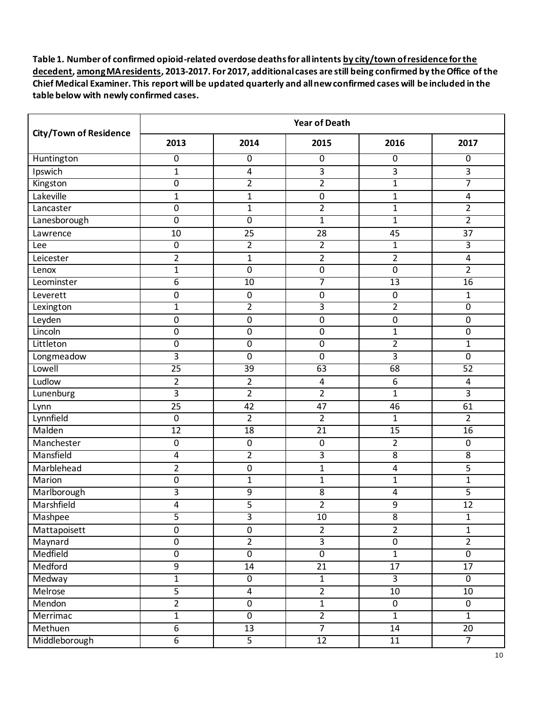|                               | <b>Year of Death</b> |                         |                 |                  |                  |  |  |
|-------------------------------|----------------------|-------------------------|-----------------|------------------|------------------|--|--|
| <b>City/Town of Residence</b> | 2013                 | 2014                    | 2015            | 2016             | 2017             |  |  |
| Huntington                    | 0                    | $\mathbf 0$             | 0               | $\mathbf 0$      | $\overline{0}$   |  |  |
| Ipswich                       | $\mathbf{1}$         | 4                       | 3               | 3                | 3                |  |  |
| Kingston                      | $\overline{0}$       | $\overline{2}$          | $\overline{2}$  | $\mathbf{1}$     | 7                |  |  |
| Lakeville                     | $\mathbf{1}$         | $\mathbf{1}$            | 0               | $\mathbf{1}$     | 4                |  |  |
| Lancaster                     | $\pmb{0}$            | $\mathbf 1$             | $\overline{2}$  | $\mathbf{1}$     | $\overline{2}$   |  |  |
| Lanesborough                  | $\pmb{0}$            | $\boldsymbol{0}$        | $\mathbf{1}$    | $\mathbf{1}$     | $\overline{2}$   |  |  |
| Lawrence                      | 10                   | 25                      | 28              | 45               | 37               |  |  |
| Lee                           | $\overline{0}$       | $\overline{2}$          | $\overline{2}$  | $\mathbf{1}$     | 3                |  |  |
| Leicester                     | $\overline{2}$       | $\mathbf{1}$            | $\overline{2}$  | 2                | 4                |  |  |
| Lenox                         | $\mathbf{1}$         | $\mathbf 0$             | 0               | $\mathbf 0$      | $\overline{2}$   |  |  |
| Leominster                    | $\overline{6}$       | 10                      | 7               | 13               | 16               |  |  |
| Leverett                      | $\boldsymbol{0}$     | $\boldsymbol{0}$        | $\pmb{0}$       | $\mathbf 0$      | $\mathbf{1}$     |  |  |
| Lexington                     | $\mathbf{1}$         | $\overline{2}$          | 3               | $\overline{2}$   | $\overline{0}$   |  |  |
| Leyden                        | $\pmb{0}$            | $\pmb{0}$               | $\pmb{0}$       | 0                | $\pmb{0}$        |  |  |
| Lincoln                       | $\pmb{0}$            | 0                       | $\pmb{0}$       | $\mathbf{1}$     | $\pmb{0}$        |  |  |
| Littleton                     | $\overline{0}$       | $\overline{0}$          | $\overline{0}$  | $\overline{2}$   | $\mathbf{1}$     |  |  |
| Longmeadow                    | 3                    | $\pmb{0}$               | $\pmb{0}$       | 3                | $\boldsymbol{0}$ |  |  |
| Lowell                        | $\overline{25}$      | $\overline{39}$         | 63              | 68               | 52               |  |  |
| Ludlow                        | $\overline{2}$       | $\overline{2}$          | $\pmb{4}$       | 6                | 4                |  |  |
| Lunenburg                     | $\overline{3}$       | $\overline{2}$          | $\overline{2}$  | $\mathbf{1}$     | $\overline{3}$   |  |  |
| Lynn                          | 25                   | 42                      | 47              | 46               | 61               |  |  |
| Lynnfield                     | $\pmb{0}$            | $\overline{2}$          | $\overline{2}$  | $\overline{1}$   | $\overline{2}$   |  |  |
| Malden                        | 12                   | $\overline{18}$         | $\overline{21}$ | $\overline{15}$  | $\overline{16}$  |  |  |
| Manchester                    | $\pmb{0}$            | $\boldsymbol{0}$        | $\pmb{0}$       | $\overline{2}$   | $\mathbf 0$      |  |  |
| Mansfield                     | 4                    | $\overline{2}$          | 3               | 8                | 8                |  |  |
| Marblehead                    | $\overline{2}$       | $\mathbf 0$             | $\mathbf{1}$    | 4                | 5                |  |  |
| Marion                        | $\mathbf 0$          | $\mathbf{1}$            | $\mathbf{1}$    | $\mathbf{1}$     | $\mathbf 1$      |  |  |
| Marlborough                   | 3                    | 9                       | 8               | 4                | 5                |  |  |
| Marshfield                    | 4                    | 5                       | $\overline{2}$  | 9                | 12               |  |  |
| Mashpee                       | $\overline{5}$       | $\overline{3}$          | $\overline{10}$ | $\overline{8}$   | $\overline{1}$   |  |  |
| Mattapoisett                  | $\pmb{0}$            | $\pmb{0}$               | $\overline{2}$  | $\overline{2}$   | $\mathbf{1}$     |  |  |
| Maynard                       | $\overline{0}$       | $\overline{2}$          | $\overline{3}$  | $\pmb{0}$        | $\overline{2}$   |  |  |
| Medfield                      | $\overline{0}$       | $\overline{0}$          | $\overline{0}$  | $\overline{1}$   | $\overline{0}$   |  |  |
| Medford                       | 9                    | 14                      | 21              | $\overline{17}$  | 17               |  |  |
| Medway                        | $\overline{1}$       | $\overline{0}$          | $\overline{1}$  | $\overline{3}$   | $\overline{0}$   |  |  |
| Melrose                       | 5                    | $\overline{\mathbf{4}}$ | $\overline{2}$  | $10\,$           | 10               |  |  |
| Mendon                        | $\overline{2}$       | $\mathbf 0$             | $\overline{1}$  | $\boldsymbol{0}$ | $\mathbf 0$      |  |  |
| Merrimac                      | $\overline{1}$       | $\overline{0}$          | $\overline{2}$  | $\overline{1}$   | $\overline{1}$   |  |  |
| Methuen                       | $\overline{6}$       | 13                      | $\overline{7}$  | 14               | 20               |  |  |
| Middleborough                 | $\overline{6}$       | $\overline{5}$          | 12              | 11               | $\overline{7}$   |  |  |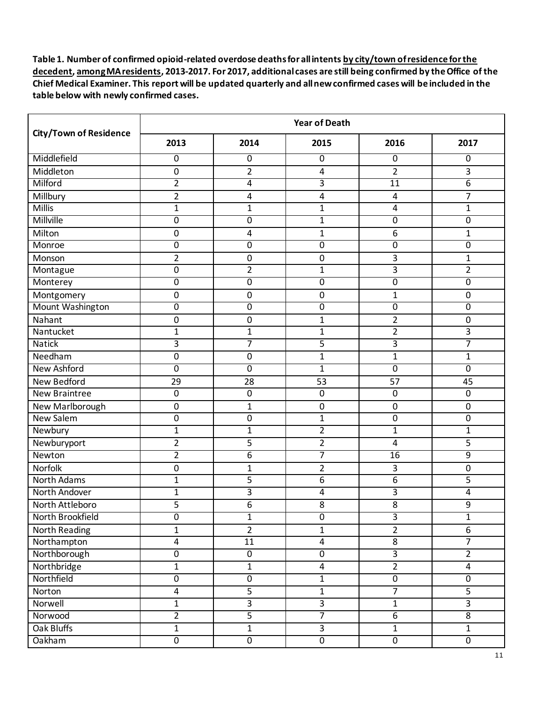|                               | <b>Year of Death</b>    |                  |                         |                 |                |  |  |
|-------------------------------|-------------------------|------------------|-------------------------|-----------------|----------------|--|--|
| <b>City/Town of Residence</b> | 2013                    | 2014             | 2015                    | 2016            | 2017           |  |  |
| Middlefield                   | 0                       | $\mathbf 0$      | 0                       | 0               | $\overline{0}$ |  |  |
| Middleton                     | $\pmb{0}$               | $\overline{2}$   | $\overline{\mathbf{4}}$ | $\overline{2}$  | 3              |  |  |
| Milford                       | $\overline{2}$          | 4                | 3                       | $\overline{11}$ | $\overline{6}$ |  |  |
| Millbury                      | $\overline{2}$          | 4                | 4                       | 4               | 7              |  |  |
| Millis                        | $\mathbf{1}$            | $\mathbf 1$      | $\mathbf{1}$            | 4               | $\mathbf{1}$   |  |  |
| Millville                     | 0                       | 0                | $\mathbf{1}$            | 0               | 0              |  |  |
| Milton                        | $\mathbf 0$             | 4                | $\mathbf{1}$            | 6               | $\mathbf{1}$   |  |  |
| Monroe                        | 0                       | 0                | 0                       | 0               | 0              |  |  |
| Monson                        | $\overline{2}$          | 0                | 0                       | 3               | 1              |  |  |
| Montague                      | 0                       | 2                | $\mathbf{1}$            | 3               | $\overline{2}$ |  |  |
| Monterey                      | $\mathbf 0$             | $\overline{0}$   | $\overline{0}$          | $\overline{0}$  | $\overline{0}$ |  |  |
| Montgomery                    | 0                       | $\mathbf 0$      | 0                       | $\mathbf{1}$    | 0              |  |  |
| <b>Mount Washington</b>       | $\overline{0}$          | $\overline{0}$   | 0                       | 0               | 0              |  |  |
| Nahant                        | $\mathbf 0$             | $\mathbf 0$      | $\mathbf{1}$            | 2               | $\pmb{0}$      |  |  |
| Nantucket                     | $\mathbf{1}$            | $\mathbf{1}$     | $\mathbf{1}$            | $\overline{2}$  | 3              |  |  |
| <b>Natick</b>                 | $\overline{3}$          | 7                | $\overline{5}$          | $\overline{3}$  | 7              |  |  |
| Needham                       | $\pmb{0}$               | $\mathbf 0$      | $\mathbf{1}$            | $\mathbf 1$     | 1              |  |  |
| <b>New Ashford</b>            | $\mathbf 0$             | $\mathbf 0$      | $\mathbf{1}$            | $\mathbf 0$     | 0              |  |  |
| <b>New Bedford</b>            | 29                      | 28               | 53                      | 57              | 45             |  |  |
| <b>New Braintree</b>          | $\pmb{0}$               | $\boldsymbol{0}$ | $\boldsymbol{0}$        | $\mathbf 0$     | $\mathbf 0$    |  |  |
| New Marlborough               | 0                       | $\mathbf{1}$     | $\pmb{0}$               | 0               | 0              |  |  |
| New Salem                     | $\mathbf 0$             | 0                | $\mathbf{1}$            | 0               | $\pmb{0}$      |  |  |
| Newbury                       | 1                       | 1                | $\overline{2}$          | 1               | 1              |  |  |
| Newburyport                   | $\overline{2}$          | 5                | $\overline{2}$          | 4               | 5              |  |  |
| Newton                        | $\overline{2}$          | 6                | $\overline{7}$          | 16              | 9              |  |  |
| Norfolk                       | 0                       | 1                | $\overline{2}$          | 3               | $\pmb{0}$      |  |  |
| <b>North Adams</b>            | $\mathbf{1}$            | 5                | 6                       | 6               | 5              |  |  |
| North Andover                 | $\mathbf{1}$            | 3                | $\overline{\mathbf{4}}$ | 3               | 4              |  |  |
| North Attleboro               | 5                       | 6                | 8                       | 8               | 9              |  |  |
| North Brookfield              | $\overline{0}$          | $\overline{1}$   | $\overline{0}$          | $\overline{3}$  | $\overline{1}$ |  |  |
| <b>North Reading</b>          | $\mathbf{1}$            | $\overline{2}$   | $\mathbf{1}$            | $\overline{2}$  | 6              |  |  |
| Northampton                   | $\overline{4}$          | $\overline{11}$  | $\overline{\mathbf{4}}$ | 8               | $\overline{7}$ |  |  |
| Northborough                  | $\overline{0}$          | $\overline{0}$   | $\overline{0}$          | $\overline{3}$  | $\overline{2}$ |  |  |
| Northbridge                   | $\mathbf{1}$            | $\mathbf 1$      | $\overline{\mathbf{4}}$ | $\overline{2}$  | $\overline{4}$ |  |  |
| Northfield                    | $\overline{0}$          | $\overline{0}$   | $\overline{1}$          | $\overline{0}$  | $\overline{0}$ |  |  |
| Norton                        | $\overline{\mathbf{4}}$ | 5                | $\mathbf 1$             | $\overline{7}$  | 5              |  |  |
| Norwell                       | $\mathbf{1}$            | $\overline{3}$   | $\overline{3}$          | $\mathbf{1}$    | $\overline{3}$ |  |  |
| Norwood                       | $\overline{2}$          | $\overline{5}$   | 7                       | $\overline{6}$  | $\overline{8}$ |  |  |
| Oak Bluffs                    | $\mathbf 1$             | $\mathbf 1$      | $\overline{3}$          | $\mathbf 1$     | $\mathbf{1}$   |  |  |
| Oakham                        | $\overline{0}$          | $\overline{0}$   | $\overline{0}$          | $\overline{0}$  | $\overline{0}$ |  |  |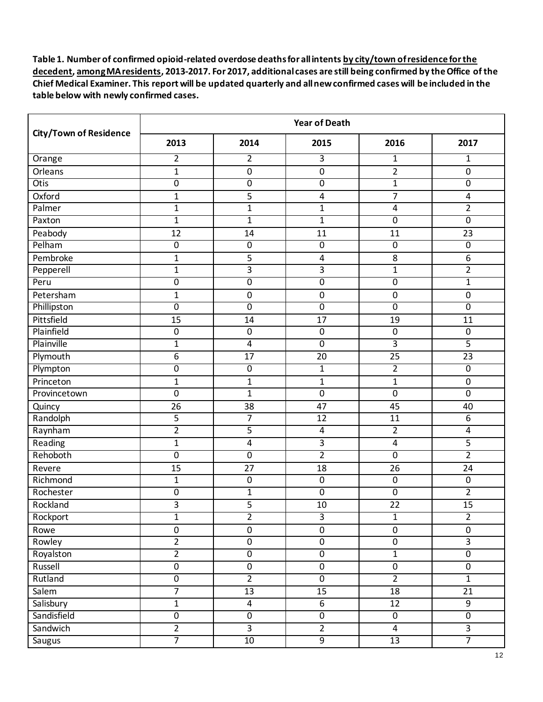|                               | <b>Year of Death</b> |                         |                  |                         |                 |  |
|-------------------------------|----------------------|-------------------------|------------------|-------------------------|-----------------|--|
| <b>City/Town of Residence</b> | 2013                 | 2014                    | 2015             | 2016                    | 2017            |  |
| Orange                        | $\overline{2}$       | $\overline{2}$          | 3                | $\mathbf{1}$            | $\mathbf{1}$    |  |
| Orleans                       | $\mathbf{1}$         | $\pmb{0}$               | $\pmb{0}$        | $\overline{2}$          | $\pmb{0}$       |  |
| <b>Otis</b>                   | $\mathbf 0$          | $\boldsymbol{0}$        | $\overline{0}$   | $\mathbf{1}$            | $\overline{0}$  |  |
| Oxford                        | $\mathbf{1}$         | 5                       | 4                | 7                       | 4               |  |
| Palmer                        | $\mathbf 1$          | $\mathbf 1$             | 1                | 4                       | 2               |  |
| Paxton                        | $\mathbf{1}$         | $\mathbf{1}$            | $\overline{1}$   | $\overline{0}$          | $\overline{0}$  |  |
| Peabody                       | $\overline{12}$      | 14                      | 11               | 11                      | 23              |  |
| Pelham                        | $\overline{0}$       | $\overline{0}$          | $\overline{0}$   | $\overline{0}$          | $\overline{0}$  |  |
| Pembroke                      | $\mathbf{1}$         | 5                       | 4                | 8                       | 6               |  |
| Pepperell                     | $\mathbf{1}$         | 3                       | 3                | $\mathbf{1}$            | $\overline{2}$  |  |
| Peru                          | $\overline{0}$       | $\boldsymbol{0}$        | $\overline{0}$   | $\overline{0}$          | $\mathbf{1}$    |  |
| Petersham                     | $\mathbf{1}$         | $\mathbf 0$             | $\pmb{0}$        | 0                       | $\pmb{0}$       |  |
| Phillipston                   | $\overline{0}$       | $\overline{0}$          | $\overline{0}$   | $\overline{0}$          | $\overline{0}$  |  |
| Pittsfield                    | 15                   | 14                      | 17               | 19                      | 11              |  |
| Plainfield                    | $\pmb{0}$            | $\boldsymbol{0}$        | $\pmb{0}$        | $\mathbf 0$             | $\mathbf 0$     |  |
| Plainville                    | $\mathbf{1}$         | $\overline{4}$          | $\overline{0}$   | 3                       | 5               |  |
| Plymouth                      | 6                    | 17                      | 20               | 25                      | 23              |  |
| Plympton                      | $\overline{0}$       | $\overline{0}$          | $\mathbf{1}$     | $\overline{2}$          | $\overline{0}$  |  |
| Princeton                     | $\mathbf{1}$         | $\mathbf 1$             | $\mathbf{1}$     | $\overline{1}$          | $\pmb{0}$       |  |
| Provincetown                  | $\mathbf 0$          | $\mathbf{1}$            | $\pmb{0}$        | $\mathbf 0$             | $\mathbf 0$     |  |
| Quincy                        | 26                   | 38                      | 47               | 45                      | 40              |  |
| Randolph                      | 5                    | $\overline{7}$          | 12               | 11                      | 6               |  |
| Raynham                       | $\overline{2}$       | 5                       | $\overline{4}$   | $\overline{2}$          | 4               |  |
| Reading                       | $\mathbf{1}$         | 4                       | $\overline{3}$   | $\overline{\mathbf{4}}$ | 5               |  |
| Rehoboth                      | $\overline{0}$       | $\pmb{0}$               | $\overline{2}$   | $\overline{0}$          | $\overline{2}$  |  |
| Revere                        | 15                   | 27                      | 18               | 26                      | 24              |  |
| Richmond                      | $\mathbf{1}$         | $\boldsymbol{0}$        | $\pmb{0}$        | $\pmb{0}$               | $\mathbf 0$     |  |
| Rochester                     | 0                    | $\mathbf{1}$            | $\pmb{0}$        | $\mathbf 0$             | 2               |  |
| Rockland                      | 3                    | 5                       | 10               | 22                      | $\overline{15}$ |  |
| Rockport                      | $\overline{1}$       | $\overline{2}$          | $\overline{3}$   | $\mathbf{1}$            | $\overline{2}$  |  |
| Rowe                          | $\pmb{0}$            | $\pmb{0}$               | $\pmb{0}$        | 0                       | $\mathbf 0$     |  |
| Rowley                        | $\overline{2}$       | $\pmb{0}$               | $\pmb{0}$        | $\pmb{0}$               | $\overline{3}$  |  |
| Royalston                     | $\overline{2}$       | $\overline{0}$          | $\overline{0}$   | $\overline{1}$          | $\overline{0}$  |  |
| Russell                       | $\overline{0}$       | $\pmb{0}$               | $\pmb{0}$        | $\pmb{0}$               | $\pmb{0}$       |  |
| Rutland                       | $\overline{0}$       | $\overline{2}$          | $\overline{0}$   | $\overline{2}$          | $\overline{1}$  |  |
| Salem                         | $\overline{7}$       | 13                      | 15               | 18                      | 21              |  |
| Salisbury                     | $\mathbf 1$          | 4                       | $\boldsymbol{6}$ | 12                      | 9               |  |
| Sandisfield                   | $\overline{0}$       | $\overline{0}$          | $\overline{0}$   | $\overline{0}$          | $\overline{0}$  |  |
| Sandwich                      | $\overline{2}$       | $\overline{\mathbf{3}}$ | $\overline{2}$   | $\overline{4}$          | $\overline{3}$  |  |
| <b>Saugus</b>                 | $\overline{7}$       | 10                      | $\overline{9}$   | 13                      | $\overline{7}$  |  |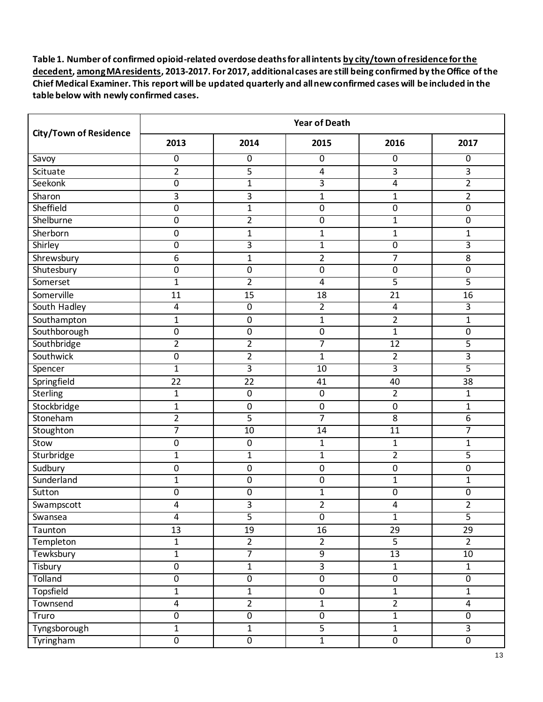|                               | <b>Year of Death</b> |                  |                         |                  |                  |  |  |
|-------------------------------|----------------------|------------------|-------------------------|------------------|------------------|--|--|
| <b>City/Town of Residence</b> | 2013                 | 2014             | 2015                    | 2016             | 2017             |  |  |
| Savoy                         | 0                    | 0                | 0                       | 0                | $\overline{0}$   |  |  |
| Scituate                      | $\overline{2}$       | 5                | $\overline{\mathbf{4}}$ | 3                | 3                |  |  |
| Seekonk                       | $\overline{0}$       | $\mathbf{1}$     | $\overline{3}$          | 4                | $\overline{2}$   |  |  |
| Sharon                        | 3                    | 3                | $\mathbf{1}$            | $\mathbf{1}$     | $\overline{2}$   |  |  |
| Sheffield                     | $\boldsymbol{0}$     | $\mathbf{1}$     | $\pmb{0}$               | $\pmb{0}$        | $\boldsymbol{0}$ |  |  |
| Shelburne                     | 0                    | 2                | $\overline{0}$          | 1                | $\overline{0}$   |  |  |
| Sherborn                      | 0                    | $\mathbf{1}$     | $\mathbf 1$             | $\mathbf{1}$     | $\mathbf{1}$     |  |  |
| Shirley                       | $\overline{0}$       | 3                | $\mathbf 1$             | $\overline{0}$   | 3                |  |  |
| Shrewsbury                    | 6                    | $\mathbf{1}$     | $\overline{2}$          | 7                | 8                |  |  |
| Shutesbury                    | 0                    | 0                | 0                       | 0                | $\mathbf 0$      |  |  |
| Somerset                      | $\mathbf 1$          | $\overline{2}$   | $\overline{4}$          | $\overline{5}$   | $\overline{5}$   |  |  |
| Somerville                    | 11                   | 15               | 18                      | 21               | 16               |  |  |
| South Hadley                  | 4                    | $\overline{0}$   | $\overline{2}$          | 4                | 3                |  |  |
| Southampton                   | $\mathbf{1}$         | $\pmb{0}$        | $\mathbf{1}$            | 2                | $\mathbf{1}$     |  |  |
| Southborough                  | 0                    | 0                | $\mathbf 0$             | $\mathbf{1}$     | $\pmb{0}$        |  |  |
| Southbridge                   | $\overline{2}$       | $\overline{2}$   | 7                       | 12               | 5                |  |  |
| Southwick                     | 0                    | 2                | $\mathbf{1}$            | $\overline{2}$   | 3                |  |  |
| Spencer                       | $\mathbf{1}$         | $\overline{3}$   | $\overline{10}$         | $\overline{3}$   | $\overline{5}$   |  |  |
| Springfield                   | $\overline{22}$      | 22               | 41                      | 40               | 38               |  |  |
| Sterling                      | $\mathbf{1}$         | $\mathbf 0$      | $\pmb{0}$               | $\overline{2}$   | $\mathbf{1}$     |  |  |
| Stockbridge                   | $\mathbf{1}$         | $\mathbf 0$      | $\pmb{0}$               | $\pmb{0}$        | 1                |  |  |
| Stoneham                      | $\overline{2}$       | 5                | $\overline{7}$          | 8                | 6                |  |  |
| Stoughton                     | 7                    | 10               | 14                      | $\overline{11}$  | 7                |  |  |
| Stow                          | 0                    | $\boldsymbol{0}$ | $\mathbf{1}$            | $\mathbf{1}$     | $\mathbf{1}$     |  |  |
| Sturbridge                    | $\mathbf{1}$         | $\mathbf{1}$     | $\mathbf{1}$            | $\overline{2}$   | 5                |  |  |
| Sudbury                       | 0                    | $\mathbf 0$      | $\pmb{0}$               | $\boldsymbol{0}$ | $\pmb{0}$        |  |  |
| Sunderland                    | $\mathbf{1}$         | 0                | 0                       | $\mathbf{1}$     | 1                |  |  |
| Sutton                        | 0                    | $\boldsymbol{0}$ | $\mathbf{1}$            | 0                | $\overline{0}$   |  |  |
| Swampscott                    | 4                    | 3                | $\overline{2}$          | 4                | $\overline{2}$   |  |  |
| Swansea                       | $\overline{4}$       | 5                | $\overline{0}$          | $\overline{1}$   | $\overline{5}$   |  |  |
| Taunton                       | $\overline{13}$      | 19               | $\overline{16}$         | $\overline{29}$  | $\overline{29}$  |  |  |
| Templeton                     | $\mathbf{1}$         | $\overline{2}$   | $\overline{2}$          | $\overline{5}$   | $\overline{2}$   |  |  |
| Tewksbury                     | $\overline{1}$       | $\overline{7}$   | $\overline{9}$          | 13               | 10               |  |  |
| Tisbury                       | 0                    | $\mathbf 1$      | $\overline{3}$          | $\mathbf 1$      | $\mathbf{1}$     |  |  |
| <b>Tolland</b>                | $\overline{0}$       | $\overline{0}$   | $\overline{0}$          | $\overline{0}$   | $\overline{0}$   |  |  |
| Topsfield                     | $\mathbf{1}$         | $\mathbf{1}$     | $\pmb{0}$               | $\mathbf{1}$     | $\mathbf{1}$     |  |  |
| Townsend                      | 4                    | $\overline{2}$   | $\mathbf{1}$            | $\overline{2}$   | $\overline{4}$   |  |  |
| Truro                         | $\overline{0}$       | $\overline{0}$   | $\overline{0}$          | $\overline{1}$   | $\overline{0}$   |  |  |
| Tyngsborough                  | $\mathbf{1}$         | $\mathbf 1$      | $\overline{5}$          | $\mathbf 1$      | $\overline{3}$   |  |  |
| Tyringham                     | $\overline{0}$       | $\overline{0}$   | $\overline{1}$          | $\overline{0}$   | $\overline{0}$   |  |  |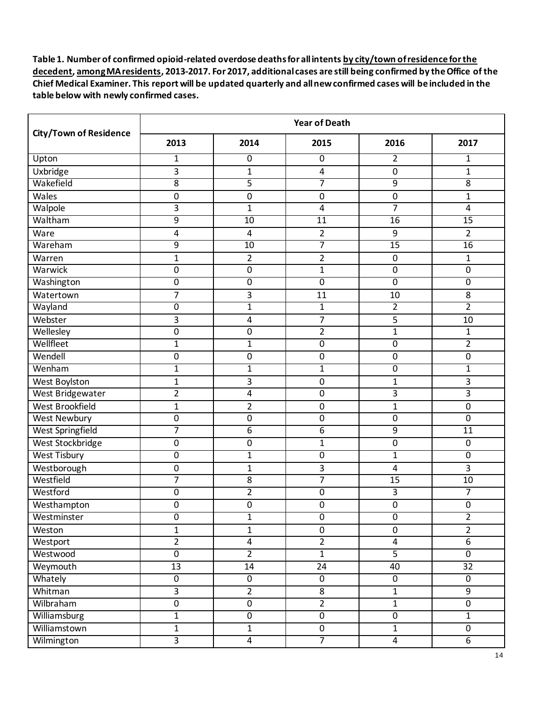|                               | <b>Year of Death</b> |                 |                         |                         |                  |  |  |
|-------------------------------|----------------------|-----------------|-------------------------|-------------------------|------------------|--|--|
| <b>City/Town of Residence</b> | 2013                 | 2014            | 2015                    | 2016                    | 2017             |  |  |
| Upton                         | $\mathbf{1}$         | $\mathbf 0$     | 0                       | $\overline{2}$          | $\mathbf{1}$     |  |  |
| Uxbridge                      | 3                    | $\mathbf{1}$    | $\overline{\mathbf{4}}$ | $\pmb{0}$               | $\mathbf{1}$     |  |  |
| Wakefield                     | $\overline{8}$       | 5               | 7                       | 9                       | 8                |  |  |
| Wales                         | $\mathbf 0$          | 0               | 0                       | 0                       | $\mathbf{1}$     |  |  |
| Walpole                       | 3                    | $\mathbf{1}$    | $\overline{4}$          | $\overline{7}$          | 4                |  |  |
| Waltham                       | $\overline{9}$       | 10              | 11                      | $\overline{16}$         | $\overline{15}$  |  |  |
| Ware                          | 4                    | 4               | $\overline{2}$          | 9                       | $\overline{2}$   |  |  |
| Wareham                       | $\overline{9}$       | $\overline{10}$ | 7                       | 15                      | $\overline{16}$  |  |  |
| Warren                        | 1                    | $\overline{2}$  | $\overline{2}$          | $\mathbf 0$             | 1                |  |  |
| Warwick                       | 0                    | 0               | $\mathbf{1}$            | 0                       | 0                |  |  |
| Washington                    | $\overline{0}$       | $\overline{0}$  | $\overline{0}$          | $\overline{0}$          | $\overline{0}$   |  |  |
| Watertown                     | 7                    | 3               | 11                      | 10                      | 8                |  |  |
| Wayland                       | $\overline{0}$       | $\mathbf{1}$    | $\mathbf{1}$            | $\overline{2}$          | $\overline{2}$   |  |  |
| Webster                       | 3                    | 4               | $\overline{7}$          | 5                       | 10               |  |  |
| Wellesley                     | $\mathbf 0$          | 0               | $\overline{2}$          | $\overline{1}$          | 1                |  |  |
| Wellfleet                     | $\mathbf{1}$         | $\mathbf{1}$    | $\overline{0}$          | $\overline{0}$          | $\overline{2}$   |  |  |
| Wendell                       | $\pmb{0}$            | $\pmb{0}$       | $\pmb{0}$               | $\pmb{0}$               | $\pmb{0}$        |  |  |
| Wenham                        | $\mathbf{1}$         | $\mathbf{1}$    | $\mathbf{1}$            | 0                       | 1                |  |  |
| West Boylston                 | $\mathbf{1}$         | 3               | $\boldsymbol{0}$        | $\mathbf{1}$            | 3                |  |  |
| West Bridgewater              | $\overline{2}$       | 4               | $\pmb{0}$               | 3                       | 3                |  |  |
| West Brookfield               | $\mathbf{1}$         | $\overline{2}$  | $\boldsymbol{0}$        | $\mathbf{1}$            | $\pmb{0}$        |  |  |
| West Newbury                  | $\pmb{0}$            | 0               | 0                       | 0                       | $\pmb{0}$        |  |  |
| <b>West Springfield</b>       | 7                    | 6               | $\overline{6}$          | 9                       | 11               |  |  |
| West Stockbridge              | $\pmb{0}$            | 0               | $\mathbf{1}$            | 0                       | $\mathbf 0$      |  |  |
| <b>West Tisbury</b>           | $\mathbf 0$          | $\mathbf{1}$    | $\overline{0}$          | $\mathbf{1}$            | 0                |  |  |
| Westborough                   | $\pmb{0}$            | 1               | 3                       | $\overline{4}$          | 3                |  |  |
| Westfield                     | 7                    | 8               | 7                       | 15                      | 10               |  |  |
| Westford                      | $\pmb{0}$            | 2               | $\overline{0}$          | 3                       | 7                |  |  |
| Westhampton                   | $\mathbf 0$          | 0               | 0                       | $\mathbf 0$             | 0                |  |  |
| Westminster                   | $\overline{0}$       | $\overline{1}$  | $\overline{0}$          | $\overline{0}$          | $\overline{2}$   |  |  |
| Weston                        | $\mathbf{1}$         | $\mathbf{1}$    | $\pmb{0}$               | 0                       | $\overline{2}$   |  |  |
| Westport                      | $\overline{2}$       | 4               | $\overline{2}$          | $\overline{\mathbf{4}}$ | $\overline{6}$   |  |  |
| Westwood                      | $\overline{0}$       | $\overline{2}$  | $\overline{1}$          | $\overline{5}$          | $\overline{0}$   |  |  |
| Weymouth                      | 13                   | 14              | 24                      | 40                      | 32               |  |  |
| Whately                       | $\overline{0}$       | $\overline{0}$  | $\overline{0}$          | $\overline{0}$          | $\overline{0}$   |  |  |
| Whitman                       | 3                    | $\overline{2}$  | 8                       | $\mathbf{1}$            | 9                |  |  |
| Wilbraham                     | $\overline{0}$       | $\pmb{0}$       | $\overline{2}$          | $\mathbf{1}$            | $\boldsymbol{0}$ |  |  |
| Williamsburg                  | $\overline{1}$       | $\overline{0}$  | $\overline{0}$          | $\overline{0}$          | $\overline{1}$   |  |  |
| Williamstown                  | $\mathbf 1$          | $\mathbf 1$     | $\pmb{0}$               | $\mathbf 1$             | $\pmb{0}$        |  |  |
| Wilmington                    | $\overline{3}$       | $\overline{4}$  | 7                       | $\overline{4}$          | $\overline{6}$   |  |  |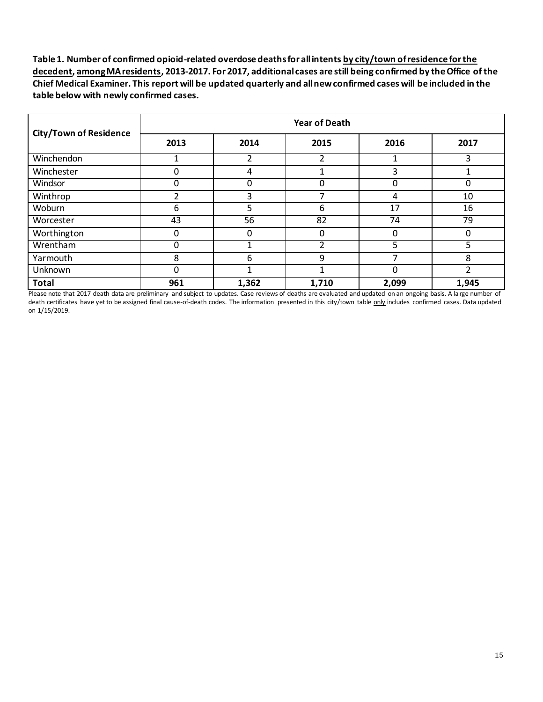| <b>City/Town of Residence</b> | <b>Year of Death</b> |          |       |       |       |  |  |
|-------------------------------|----------------------|----------|-------|-------|-------|--|--|
|                               | 2013                 | 2014     | 2015  | 2016  | 2017  |  |  |
| Winchendon                    |                      | 2        | 2     |       |       |  |  |
| Winchester                    | 0                    | 4        |       | 3     |       |  |  |
| Windsor                       | 0                    | $\Omega$ | 0     | 0     | 0     |  |  |
| Winthrop                      |                      | 3        | ⇁     | 4     | 10    |  |  |
| Woburn                        | 6                    | 5        | 6     | 17    | 16    |  |  |
| Worcester                     | 43                   | 56       | 82    | 74    | 79    |  |  |
| Worthington                   | 0                    | $\Omega$ | 0     | 0     |       |  |  |
| Wrentham                      | 0                    |          | 2     | 5     | 5     |  |  |
| Yarmouth                      | 8                    | 6        | 9     | 7     | 8     |  |  |
| Unknown                       | 0                    | 1        | 1     | 0     | າ     |  |  |
| <b>Total</b>                  | 961                  | 1,362    | 1,710 | 2,099 | 1,945 |  |  |

Please note that 2017 death data are preliminary and subject to updates. Case reviews of deaths are evaluated and updated on an ongoing basis. A la rge number of death certificates have yet to be assigned final cause-of-death codes. The information presented in this city/town table only includes confirmed cases. Data updated on 1/15/2019.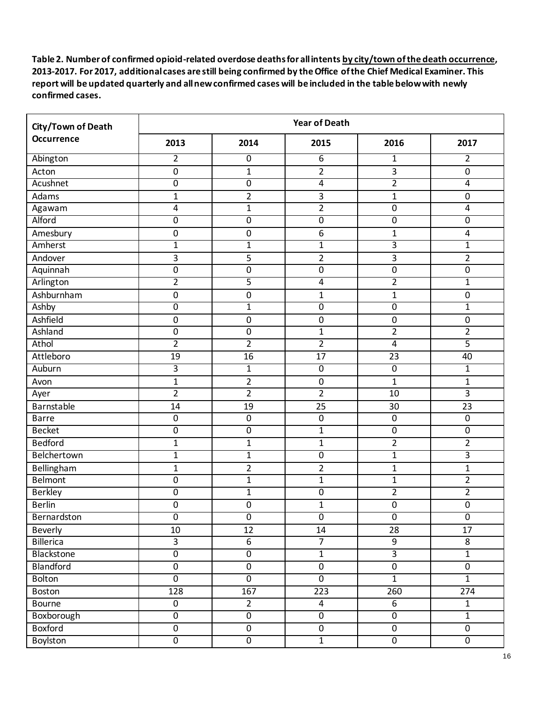| City/Town of Death |                         |                  | <b>Year of Death</b> |                |                         |
|--------------------|-------------------------|------------------|----------------------|----------------|-------------------------|
| <b>Occurrence</b>  | 2013                    | 2014             | 2015                 | 2016           | 2017                    |
| Abington           | $\overline{2}$          | $\overline{0}$   | 6                    | $\mathbf{1}$   | $\overline{2}$          |
| Acton              | $\mathbf 0$             | $\mathbf{1}$     | $\overline{2}$       | $\overline{3}$ | $\overline{0}$          |
| Acushnet           | $\boldsymbol{0}$        | $\overline{0}$   | 4                    | $\overline{2}$ | 4                       |
| Adams              | 1                       | $\overline{2}$   | 3                    | $\mathbf{1}$   | $\mathbf 0$             |
| Agawam             | $\overline{\mathbf{4}}$ | $\mathbf{1}$     | $\overline{2}$       | $\pmb{0}$      | 4                       |
| Alford             | $\overline{0}$          | $\overline{0}$   | $\overline{0}$       | $\overline{0}$ | $\overline{0}$          |
| Amesbury           | $\boldsymbol{0}$        | $\boldsymbol{0}$ | 6                    | $\overline{1}$ | 4                       |
| Amherst            | $\mathbf{1}$            | $\mathbf{1}$     | $\overline{1}$       | $\overline{3}$ | 1                       |
| Andover            | 3                       | 5                | $\overline{2}$       | 3              | $\overline{2}$          |
| Aquinnah           | $\boldsymbol{0}$        | $\boldsymbol{0}$ | $\pmb{0}$            | $\mathbf 0$    | 0                       |
| Arlington          | $\overline{2}$          | 5                | 4                    | $\overline{2}$ | $\mathbf{1}$            |
| Ashburnham         | $\boldsymbol{0}$        | $\pmb{0}$        | $\mathbf{1}$         | $\mathbf{1}$   | 0                       |
| Ashby              | $\overline{0}$          | $\overline{1}$   | $\overline{0}$       | $\overline{0}$ | $\mathbf{1}$            |
| Ashfield           | $\boldsymbol{0}$        | $\boldsymbol{0}$ | $\pmb{0}$            | $\pmb{0}$      | $\pmb{0}$               |
| Ashland            | $\boldsymbol{0}$        | $\boldsymbol{0}$ | $\mathbf 1$          | $\overline{2}$ | 2                       |
| Athol              | $\overline{2}$          | $\overline{2}$   | $\overline{2}$       | $\overline{4}$ | 5                       |
| Attleboro          | 19                      | 16               | 17                   | 23             | 40                      |
| Auburn             | $\overline{3}$          | $\mathbf{1}$     | $\overline{0}$       | $\overline{0}$ | 1                       |
| Avon               | $\mathbf{1}$            | $\overline{2}$   | $\pmb{0}$            | $\mathbf{1}$   | $\mathbf{1}$            |
| Ayer               | $\overline{2}$          | $\overline{2}$   | $\overline{2}$       | 10             | $\overline{3}$          |
| Barnstable         | 14                      | 19               | 25                   | 30             | 23                      |
| <b>Barre</b>       | $\mathbf 0$             | $\pmb{0}$        | $\pmb{0}$            | $\pmb{0}$      | $\mathbf 0$             |
| <b>Becket</b>      | $\overline{0}$          | $\overline{0}$   | 1                    | $\overline{0}$ | $\overline{0}$          |
| <b>Bedford</b>     | $\mathbf{1}$            | $\mathbf{1}$     | $\mathbf{1}$         | $\overline{2}$ | $\overline{\mathbf{c}}$ |
| Belchertown        | $\mathbf{1}$            | $\mathbf{1}$     | $\overline{0}$       | $\mathbf 1$    | $\overline{3}$          |
| Bellingham         | $\mathbf{1}$            | $\overline{2}$   | $\overline{2}$       | $\mathbf{1}$   | $\mathbf{1}$            |
| Belmont            | $\boldsymbol{0}$        | $\mathbf{1}$     | $\mathbf{1}$         | $\overline{1}$ | $\overline{2}$          |
| <b>Berkley</b>     | $\pmb{0}$               | $\mathbf{1}$     | $\pmb{0}$            | $\overline{2}$ | 2                       |
| <b>Berlin</b>      | $\mathbf 0$             | $\mathbf 0$      | 1                    | $\mathbf 0$    | 0                       |
| Bernardston        | $\overline{0}$          | $\overline{0}$   | $\overline{0}$       | $\overline{0}$ | $\overline{0}$          |
| Beverly            | $10\,$                  | $\overline{12}$  | 14                   | 28             | 17                      |
| Billerica          | $\overline{3}$          | 6                | $\overline{7}$       | 9              | 8                       |
| Blackstone         | $\overline{0}$          | $\overline{0}$   | $\overline{1}$       | $\overline{3}$ | $\overline{1}$          |
| Blandford          | $\pmb{0}$               | $\pmb{0}$        | $\pmb{0}$            | $\pmb{0}$      | $\pmb{0}$               |
| <b>Bolton</b>      | $\overline{0}$          | $\overline{0}$   | $\overline{0}$       | $\overline{1}$ | $\overline{1}$          |
| Boston             | 128                     | 167              | 223                  | 260            | 274                     |
| Bourne             | $\mathbf 0$             | $\overline{2}$   | $\overline{4}$       | 6              | $\mathbf{1}$            |
| Boxborough         | $\overline{0}$          | $\overline{0}$   | $\overline{0}$       | $\overline{0}$ | $\overline{1}$          |
| Boxford            | $\pmb{0}$               | $\pmb{0}$        | $\boldsymbol{0}$     | $\pmb{0}$      | $\mathbf 0$             |
| <b>Boylston</b>    | $\overline{0}$          | $\overline{0}$   | $\overline{1}$       | $\overline{0}$ | $\overline{0}$          |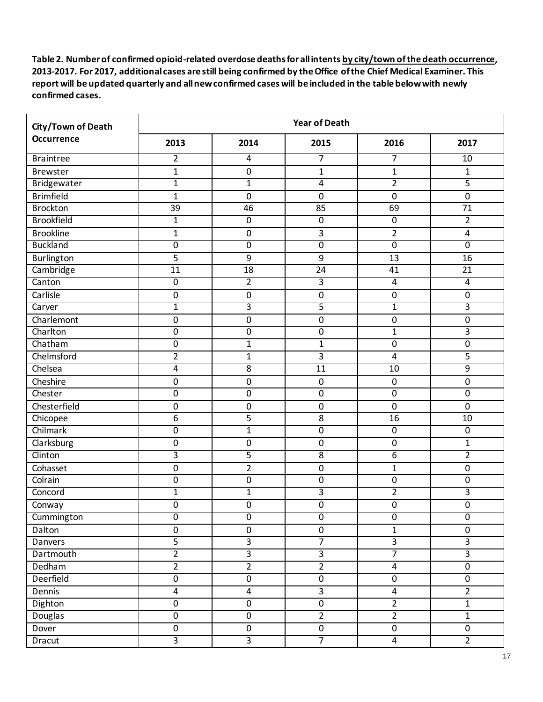| City/Town of Death | <b>Year of Death</b> |                  |                  |                         |                         |  |
|--------------------|----------------------|------------------|------------------|-------------------------|-------------------------|--|
| Occurrence         | 2013                 | 2014             | 2015             | 2016                    | 2017                    |  |
| <b>Braintree</b>   | $\overline{2}$       | $\overline{4}$   | 7                | 7                       | 10                      |  |
| <b>Brewster</b>    | $\mathbf{1}$         | $\mathbf 0$      | 1                | $\mathbf{1}$            | $\mathbf 1$             |  |
| Bridgewater        | $\mathbf{1}$         | $\mathbf{1}$     | $\overline{4}$   | $\overline{2}$          | 5                       |  |
| <b>Brimfield</b>   | $\mathbf{1}$         | $\mathbf 0$      | $\mathbf 0$      | $\mathbf 0$             | $\mathbf 0$             |  |
| <b>Brockton</b>    | 39                   | 46               | 85               | 69                      | 71                      |  |
| <b>Brookfield</b>  | $\mathbf{1}$         | $\pmb{0}$        | $\overline{0}$   | $\boldsymbol{0}$        | $\overline{2}$          |  |
| <b>Brookline</b>   | $\mathbf{1}$         | $\boldsymbol{0}$ | 3                | $\overline{2}$          | $\overline{\mathbf{4}}$ |  |
| <b>Buckland</b>    | $\overline{0}$       | $\overline{0}$   | $\overline{0}$   | $\overline{0}$          | $\overline{0}$          |  |
| Burlington         | 5                    | 9                | 9                | 13                      | 16                      |  |
| Cambridge          | 11                   | 18               | 24               | 41                      | 21                      |  |
| Canton             | $\overline{0}$       | $\overline{2}$   | 3                | $\overline{4}$          | $\overline{4}$          |  |
| Carlisle           | $\boldsymbol{0}$     | $\pmb{0}$        | $\pmb{0}$        | $\boldsymbol{0}$        | $\mathbf 0$             |  |
| Carver             | $\overline{1}$       | $\overline{3}$   | 5                | $\overline{1}$          | 3                       |  |
| Charlemont         | $\boldsymbol{0}$     | $\boldsymbol{0}$ | $\pmb{0}$        | $\boldsymbol{0}$        | $\pmb{0}$               |  |
| Charlton           | $\boldsymbol{0}$     | $\pmb{0}$        | $\pmb{0}$        | $\mathbf{1}$            | 3                       |  |
| Chatham            | $\overline{0}$       | $\mathbf{1}$     | $\overline{1}$   | $\overline{0}$          | $\overline{0}$          |  |
| Chelmsford         | $\overline{2}$       | $\mathbf{1}$     | 3                | $\overline{\mathbf{4}}$ | 5                       |  |
| Chelsea            | $\overline{4}$       | $\overline{8}$   | $\overline{11}$  | $\overline{10}$         | $\overline{9}$          |  |
| Cheshire           | $\mathbf 0$          | $\mathbf 0$      | $\pmb{0}$        | $\boldsymbol{0}$        | 0                       |  |
| Chester            | $\boldsymbol{0}$     | $\pmb{0}$        | $\boldsymbol{0}$ | $\boldsymbol{0}$        | $\pmb{0}$               |  |
| Chesterfield       | $\boldsymbol{0}$     | $\mathbf 0$      | $\pmb{0}$        | $\boldsymbol{0}$        | $\mathbf 0$             |  |
| Chicopee           | 6                    | 5                | $\overline{8}$   | 16                      | 10                      |  |
| Chilmark           | $\overline{0}$       | $\mathbf{1}$     | $\overline{0}$   | $\overline{0}$          | $\overline{0}$          |  |
| Clarksburg         | $\boldsymbol{0}$     | $\pmb{0}$        | $\pmb{0}$        | $\boldsymbol{0}$        | 1                       |  |
| Clinton            | 3                    | $\overline{5}$   | $\overline{8}$   | 6                       | $\overline{2}$          |  |
| Cohasset           | $\mathbf 0$          | $\overline{2}$   | $\mathbf 0$      | $\mathbf{1}$            | $\pmb{0}$               |  |
| Colrain            | $\boldsymbol{0}$     | $\mathbf 0$      | $\boldsymbol{0}$ | $\mathbf 0$             | $\boldsymbol{0}$        |  |
| Concord            | $\mathbf{1}$         | $\mathbf 1$      | 3                | $\overline{2}$          | 3                       |  |
| Conway             | $\mathbf 0$          | $\mathbf 0$      | $\boldsymbol{0}$ | $\mathbf 0$             | 0                       |  |
| Cummington         | $\overline{0}$       | $\overline{0}$   | $\overline{0}$   | $\overline{0}$          | $\overline{0}$          |  |
| Dalton             | $\pmb{0}$            | $\pmb{0}$        | $\pmb{0}$        | $\mathbf{1}$            | $\mathbf 0$             |  |
| Danvers            | $\overline{5}$       | $\overline{3}$   | $\overline{7}$   | $\overline{3}$          | $\overline{3}$          |  |
| Dartmouth          | $\overline{2}$       | $\overline{3}$   | $\overline{3}$   | $\overline{7}$          | $\overline{3}$          |  |
| Dedham             | $\overline{2}$       | $\overline{2}$   | $\overline{2}$   | $\overline{4}$          | $\overline{0}$          |  |
| <b>Deerfield</b>   | $\overline{0}$       | $\overline{0}$   | $\overline{0}$   | $\overline{0}$          | $\overline{0}$          |  |
| Dennis             | $\pmb{4}$            | $\overline{4}$   | $\overline{3}$   | $\overline{\mathbf{4}}$ | $\overline{2}$          |  |
| Dighton            | $\pmb{0}$            | $\pmb{0}$        | $\overline{0}$   | $2^{\circ}$             | $\mathbf{1}$            |  |
| <b>Douglas</b>     | $\overline{0}$       | $\overline{0}$   | $\overline{2}$   | $\overline{2}$          | $\overline{1}$          |  |
| Dover              | $\pmb{0}$            | $\pmb{0}$        | $\overline{0}$   | $\pmb{0}$               | $\pmb{0}$               |  |
| <b>Dracut</b>      | $\overline{3}$       | $\overline{3}$   | 7                | 4                       | $\overline{2}$          |  |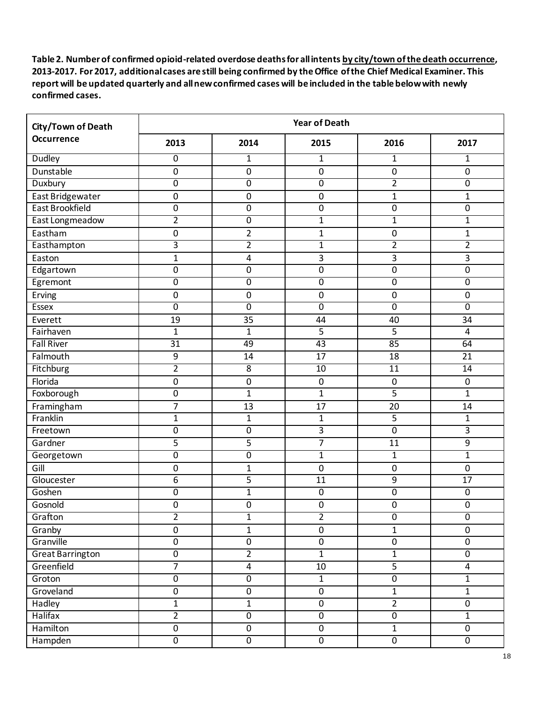| City/Town of Death      | <b>Year of Death</b> |                  |                  |                  |                         |  |
|-------------------------|----------------------|------------------|------------------|------------------|-------------------------|--|
| <b>Occurrence</b>       | 2013                 | 2014             | 2015             | 2016             | 2017                    |  |
| <b>Dudley</b>           | $\overline{0}$       | $\mathbf{1}$     | 1                | $\mathbf{1}$     | $\mathbf{1}$            |  |
| Dunstable               | $\mathbf 0$          | $\boldsymbol{0}$ | $\pmb{0}$        | $\boldsymbol{0}$ | 0                       |  |
| Duxbury                 | $\overline{0}$       | $\overline{0}$   | $\overline{0}$   | $\overline{2}$   | $\overline{0}$          |  |
| East Bridgewater        | $\mathbf 0$          | $\mathbf 0$      | $\boldsymbol{0}$ | $\mathbf{1}$     | $\mathbf{1}$            |  |
| East Brookfield         | $\boldsymbol{0}$     | $\pmb{0}$        | $\pmb{0}$        | $\mathbf 0$      | $\pmb{0}$               |  |
| East Longmeadow         | $\overline{2}$       | $\overline{0}$   | 1                | 1                | $\mathbf 1$             |  |
| Eastham                 | $\boldsymbol{0}$     | $\overline{2}$   | 1                | $\mathbf 0$      | 1                       |  |
| Easthampton             | 3                    | $\overline{2}$   | $\overline{1}$   | $\overline{2}$   | $\overline{\mathbf{2}}$ |  |
| Easton                  | $\mathbf{1}$         | 4                | 3                | 3                | 3                       |  |
| Edgartown               | $\mathbf 0$          | $\mathbf 0$      | $\boldsymbol{0}$ | $\mathbf 0$      | 0                       |  |
| Egremont                | $\overline{0}$       | $\overline{0}$   | $\overline{0}$   | $\overline{0}$   | $\overline{0}$          |  |
| Erving                  | $\boldsymbol{0}$     | $\pmb{0}$        | $\boldsymbol{0}$ | $\boldsymbol{0}$ | 0                       |  |
| <b>Essex</b>            | $\overline{0}$       | $\overline{0}$   | $\overline{0}$   | $\overline{0}$   | $\overline{0}$          |  |
| Everett                 | 19                   | 35               | 44               | 40               | 34                      |  |
| Fairhaven               | $\mathbf{1}$         | $\mathbf{1}$     | $\overline{5}$   | 5                | $\overline{4}$          |  |
| <b>Fall River</b>       | $\overline{31}$      | 49               | 43               | 85               | 64                      |  |
| Falmouth                | 9                    | 14               | 17               | 18               | 21                      |  |
| Fitchburg               | $\overline{2}$       | $\overline{8}$   | $\overline{10}$  | $\overline{11}$  | $\overline{14}$         |  |
| Florida                 | $\mathbf 0$          | $\pmb{0}$        | $\mathbf 0$      | $\boldsymbol{0}$ | $\pmb{0}$               |  |
| Foxborough              | $\boldsymbol{0}$     | $\mathbf{1}$     | $\mathbf{1}$     | 5                | $\mathbf{1}$            |  |
| Framingham              | $\overline{7}$       | 13               | 17               | 20               | 14                      |  |
| Franklin                | $\mathbf{1}$         | $\mathbf{1}$     | $\overline{1}$   | 5                | $\mathbf{1}$            |  |
| Freetown                | $\boldsymbol{0}$     | 0                | 3                | $\mathbf 0$      | 3                       |  |
| Gardner                 | 5                    | 5                | $\overline{7}$   | 11               | $\boldsymbol{9}$        |  |
| Georgetown              | $\mathbf 0$          | $\overline{0}$   | $\mathbf 1$      | $\mathbf{1}$     | $\mathbf{1}$            |  |
| Gill                    | $\boldsymbol{0}$     | 1                | $\mathbf 0$      | $\mathbf 0$      | $\mathbf 0$             |  |
| Gloucester              | 6                    | 5                | 11               | 9                | 17                      |  |
| Goshen                  | $\boldsymbol{0}$     | $\mathbf 1$      | $\pmb{0}$        | $\boldsymbol{0}$ | $\pmb{0}$               |  |
| Gosnold                 | $\mathbf 0$          | 0                | $\mathbf 0$      | $\mathbf 0$      | 0                       |  |
| Grafton                 | $\overline{2}$       | $\mathbf{1}$     | $\overline{2}$   | $\overline{0}$   | $\overline{0}$          |  |
| Granby                  | $\mathbf 0$          | $\mathbf{1}$     | $\overline{0}$   | $\mathbf{1}$     | $\mathbf 0$             |  |
| Granville               | $\overline{0}$       | $\overline{0}$   | $\overline{0}$   | $\pmb{0}$        | $\mathbf 0$             |  |
| <b>Great Barrington</b> | $\overline{0}$       | $\overline{2}$   | $\overline{1}$   | $\overline{1}$   | $\overline{0}$          |  |
| Greenfield              | $\overline{7}$       | $\overline{4}$   | $10\,$           | $\overline{5}$   | 4                       |  |
| Groton                  | $\overline{0}$       | $\overline{0}$   | $\overline{1}$   | $\overline{0}$   | $\overline{1}$          |  |
| Groveland               | $\boldsymbol{0}$     | $\pmb{0}$        | $\pmb{0}$        | $\mathbf 1$      | $\mathbf{1}$            |  |
| Hadley                  | $\mathbf{1}$         | $\mathbf{1}$     | $\pmb{0}$        | $\overline{2}$   | $\boldsymbol{0}$        |  |
| Halifax                 | $\overline{2}$       | $\overline{0}$   | $\overline{0}$   | $\overline{0}$   | $\overline{1}$          |  |
| Hamilton                | $\pmb{0}$            | $\pmb{0}$        | $\overline{0}$   | $\mathbf 1$      | $\mathbf 0$             |  |
| Hampden                 | $\overline{0}$       | $\overline{0}$   | $\overline{0}$   | $\overline{0}$   | $\overline{0}$          |  |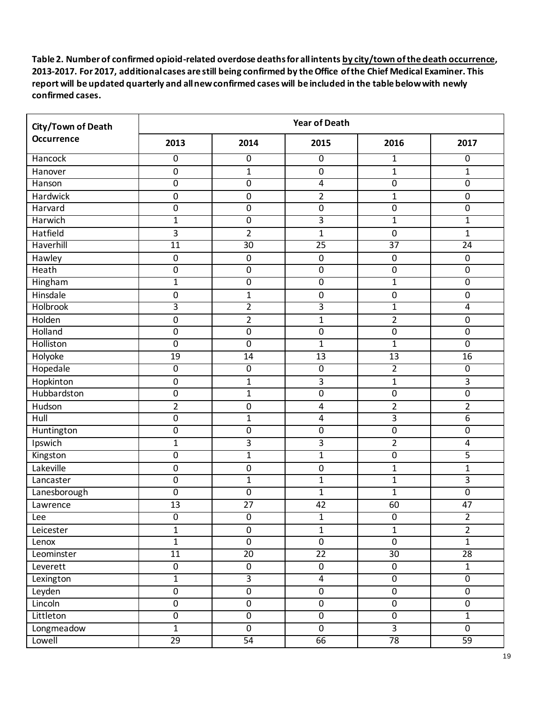| City/Town of Death | <b>Year of Death</b> |                  |                         |                 |                         |  |
|--------------------|----------------------|------------------|-------------------------|-----------------|-------------------------|--|
| Occurrence         | 2013                 | 2014             | 2015                    | 2016            | 2017                    |  |
| <b>Hancock</b>     | $\overline{0}$       | $\overline{0}$   | 0                       | $\mathbf{1}$    | $\overline{0}$          |  |
| Hanover            | $\pmb{0}$            | $\mathbf{1}$     | $\pmb{0}$               | $\mathbf{1}$    | $\mathbf{1}$            |  |
| Hanson             | $\overline{0}$       | $\overline{0}$   | $\overline{4}$          | $\overline{0}$  | $\overline{0}$          |  |
| Hardwick           | $\mathbf 0$          | $\boldsymbol{0}$ | $\overline{2}$          | $\mathbf{1}$    | $\pmb{0}$               |  |
| Harvard            | $\pmb{0}$            | $\pmb{0}$        | $\pmb{0}$               | $\mathbf 0$     | $\overline{0}$          |  |
| Harwich            | $\mathbf{1}$         | $\overline{0}$   | 3                       | $\mathbf{1}$    | $\overline{1}$          |  |
| Hatfield           | 3                    | $\overline{2}$   | $\mathbf{1}$            | 0               | $\mathbf{1}$            |  |
| Haverhill          | $\overline{11}$      | $\overline{30}$  | $\overline{25}$         | $\overline{37}$ | $\overline{24}$         |  |
| Hawley             | $\mathbf 0$          | $\pmb{0}$        | $\pmb{0}$               | $\mathbf 0$     | $\pmb{0}$               |  |
| Heath              | $\mathbf 0$          | $\pmb{0}$        | 0                       | 0               | $\mathbf 0$             |  |
| Hingham            | $\overline{1}$       | $\overline{0}$   | $\overline{0}$          | $\overline{1}$  | $\overline{0}$          |  |
| Hinsdale           | $\mathbf 0$          | $\mathbf{1}$     | $\pmb{0}$               | $\mathbf 0$     | $\pmb{0}$               |  |
| <b>Holbrook</b>    | $\overline{3}$       | $\overline{2}$   | $\overline{\mathbf{3}}$ | $\overline{1}$  | $\overline{4}$          |  |
| Holden             | $\pmb{0}$            | $\overline{2}$   | $\mathbf{1}$            | $\overline{2}$  | $\pmb{0}$               |  |
| Holland            | $\pmb{0}$            | $\boldsymbol{0}$ | $\pmb{0}$               | $\mathbf 0$     | $\boldsymbol{0}$        |  |
| Holliston          | $\overline{0}$       | $\overline{0}$   | $\overline{1}$          | $\overline{1}$  | $\overline{0}$          |  |
| Holyoke            | 19                   | 14               | 13                      | 13              | 16                      |  |
| Hopedale           | $\overline{0}$       | $\overline{0}$   | $\overline{0}$          | $\overline{2}$  | $\overline{0}$          |  |
| Hopkinton          | $\mathbf 0$          | $\mathbf{1}$     | 3                       | $\mathbf{1}$    | $\overline{3}$          |  |
| Hubbardston        | $\pmb{0}$            | $\mathbf{1}$     | $\boldsymbol{0}$        | 0               | $\pmb{0}$               |  |
| Hudson             | $\overline{2}$       | $\boldsymbol{0}$ | $\pmb{4}$               | $\overline{2}$  | $\overline{2}$          |  |
| Hull               | $\pmb{0}$            | $\mathbf{1}$     | $\overline{4}$          | $\overline{3}$  | $\overline{6}$          |  |
| Huntington         | $\mathbf 0$          | $\boldsymbol{0}$ | $\overline{0}$          | 0               | $\overline{0}$          |  |
| Ipswich            | $\mathbf{1}$         | $\mathbf{3}$     | 3                       | $\overline{2}$  | $\overline{\mathbf{4}}$ |  |
| Kingston           | $\mathbf 0$          | $\mathbf{1}$     | $\mathbf{1}$            | 0               | $\overline{5}$          |  |
| Lakeville          | $\mathbf 0$          | $\pmb{0}$        | 0                       | $\mathbf 1$     | $\mathbf{1}$            |  |
| Lancaster          | $\mathbf 0$          | $\mathbf{1}$     | $\mathbf{1}$            | $\mathbf{1}$    | 3                       |  |
| Lanesborough       | $\pmb{0}$            | $\pmb{0}$        | $\overline{1}$          | $\mathbf 1$     | $\overline{0}$          |  |
| Lawrence           | 13                   | 27               | 42                      | 60              | 47                      |  |
| Lee                | $\overline{0}$       | $\overline{0}$   | $\overline{1}$          | $\overline{0}$  | $\overline{2}$          |  |
| Leicester          | $\mathbf{1}$         | $\pmb{0}$        | $\overline{1}$          | $\mathbf{1}$    | $\overline{2}$          |  |
| Lenox              | $\overline{1}$       | $\overline{0}$   | $\overline{0}$          | $\mathbf 0$     | $\mathbf{1}$            |  |
| Leominster         | 11                   | $\overline{20}$  | $\overline{22}$         | 30 <sup>2</sup> | 28                      |  |
| Leverett           | $\pmb{0}$            | $\pmb{0}$        | $\boldsymbol{0}$        | $\mathbf 0$     | $\mathbf{1}$            |  |
| Lexington          | $\overline{1}$       | $\overline{3}$   | $\overline{4}$          | $\overline{0}$  | $\overline{0}$          |  |
| Leyden             | $\pmb{0}$            | $\pmb{0}$        | $\boldsymbol{0}$        | $\pmb{0}$       | $\boldsymbol{0}$        |  |
| Lincoln            | $\pmb{0}$            | $\pmb{0}$        | $\overline{0}$          | $\pmb{0}$       | $\boldsymbol{0}$        |  |
| Littleton          | $\overline{0}$       | $\overline{0}$   | $\overline{0}$          | $\overline{0}$  | $\overline{1}$          |  |
| Longmeadow         | $\overline{1}$       | $\pmb{0}$        | $\overline{0}$          | $\overline{3}$  | $\overline{0}$          |  |
| Lowell             | $\overline{29}$      | 54               | 66                      | 78              | 59                      |  |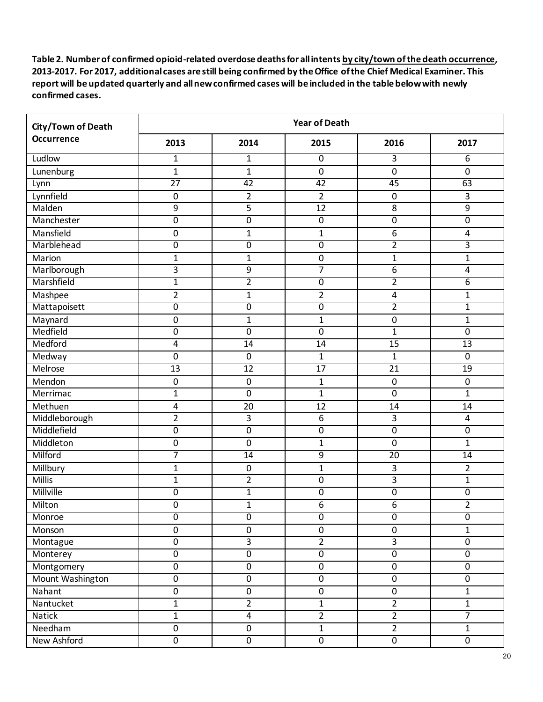| City/Town of Death | <b>Year of Death</b> |                  |                  |                  |                         |  |
|--------------------|----------------------|------------------|------------------|------------------|-------------------------|--|
| Occurrence         | 2013                 | 2014             | 2015             | 2016             | 2017                    |  |
| Ludlow             | $\mathbf{1}$         | $\mathbf{1}$     | $\overline{0}$   | 3                | $\overline{6}$          |  |
| Lunenburg          | $\mathbf{1}$         | $\mathbf{1}$     | $\mathbf 0$      | $\mathbf 0$      | $\mathbf 0$             |  |
| Lynn               | $\overline{27}$      | $\overline{42}$  | $\overline{42}$  | 45               | 63                      |  |
| Lynnfield          | $\mathbf 0$          | $\overline{2}$   | $\overline{2}$   | $\mathbf 0$      | 3                       |  |
| Malden             | $\boldsymbol{9}$     | 5                | 12               | $\overline{8}$   | $\overline{9}$          |  |
| Manchester         | $\overline{0}$       | $\overline{0}$   | $\overline{0}$   | $\overline{0}$   | $\overline{0}$          |  |
| Mansfield          | $\mathbf 0$          | $\mathbf{1}$     | $\mathbf{1}$     | 6                | 4                       |  |
| Marblehead         | $\overline{0}$       | $\overline{0}$   | $\overline{0}$   | $\overline{2}$   | 3                       |  |
| Marion             | 1                    | 1                | $\pmb{0}$        | 1                | 1                       |  |
| Marlborough        | 3                    | 9                | 7                | 6                | 4                       |  |
| Marshfield         | 1                    | $\overline{2}$   | $\overline{0}$   | $\overline{2}$   | $\overline{6}$          |  |
| Mashpee            | $\overline{2}$       | $\mathbf{1}$     | $\overline{2}$   | 4                | $\mathbf{1}$            |  |
| Mattapoisett       | $\overline{0}$       | $\overline{0}$   | $\overline{0}$   | $\overline{2}$   | $\mathbf{1}$            |  |
| Maynard            | $\boldsymbol{0}$     | $\mathbf{1}$     | $\mathbf 1$      | $\boldsymbol{0}$ | $\mathbf{1}$            |  |
| Medfield           | $\boldsymbol{0}$     | $\boldsymbol{0}$ | $\mathbf 0$      | $\mathbf{1}$     | $\mathbf 0$             |  |
| Medford            | 4                    | $\overline{14}$  | $\overline{14}$  | 15               | 13                      |  |
| Medway             | $\boldsymbol{0}$     | $\pmb{0}$        | $\mathbf 1$      | $\mathbf 1$      | $\pmb{0}$               |  |
| Melrose            | $\overline{13}$      | 12               | 17               | $\overline{21}$  | $\overline{19}$         |  |
| Mendon             | $\mathbf 0$          | $\pmb{0}$        | $\mathbf{1}$     | $\mathbf 0$      | $\mathbf 0$             |  |
| Merrimac           | $\mathbf{1}$         | $\boldsymbol{0}$ | $\mathbf{1}$     | $\boldsymbol{0}$ | $\mathbf{1}$            |  |
| Methuen            | 4                    | 20               | 12               | 14               | 14                      |  |
| Middleborough      | $\overline{2}$       | 3                | 6                | 3                | $\overline{\mathbf{4}}$ |  |
| Middlefield        | $\overline{0}$       | $\overline{0}$   | $\overline{0}$   | $\mathbf 0$      | $\overline{0}$          |  |
| Middleton          | $\boldsymbol{0}$     | $\mathbf 0$      | $\mathbf 1$      | $\mathbf 0$      | $\mathbf{1}$            |  |
| Milford            | 7                    | 14               | $\overline{9}$   | 20               | $\overline{14}$         |  |
| Millbury           | $\mathbf{1}$         | $\pmb{0}$        | $\mathbf{1}$     | 3                | $\overline{2}$          |  |
| Millis             | $\mathbf{1}$         | $\overline{2}$   | $\boldsymbol{0}$ | 3                | $\mathbf{1}$            |  |
| Millville          | $\boldsymbol{0}$     | $\mathbf{1}$     | $\pmb{0}$        | $\pmb{0}$        | $\pmb{0}$               |  |
| Milton             | $\mathbf 0$          | $\mathbf{1}$     | 6                | 6                | $\overline{2}$          |  |
| Monroe             | $\overline{0}$       | $\overline{0}$   | $\overline{0}$   | $\overline{0}$   | $\overline{0}$          |  |
| Monson             | $\mathbf 0$          | $\pmb{0}$        | $\pmb{0}$        | $\pmb{0}$        | $\mathbf{1}$            |  |
| Montague           | $\pmb{0}$            | $\overline{3}$   | $\overline{2}$   | $\overline{3}$   | $\mathbf 0$             |  |
| Monterey           | $\overline{0}$       | $\overline{0}$   | $\overline{0}$   | $\overline{0}$   | $\overline{0}$          |  |
| Montgomery         | $\pmb{0}$            | $\pmb{0}$        | $\pmb{0}$        | $\pmb{0}$        | $\boldsymbol{0}$        |  |
| Mount Washington   | $\overline{0}$       | $\overline{0}$   | $\overline{0}$   | $\overline{0}$   | $\overline{0}$          |  |
| Nahant             | $\pmb{0}$            | $\pmb{0}$        | $\pmb{0}$        | $\pmb{0}$        | $\mathbf{1}$            |  |
| Nantucket          | $\mathbf{1}$         | $\overline{2}$   | $\mathbf{1}$     | $\overline{2}$   | $\mathbf{1}$            |  |
| <b>Natick</b>      | $\overline{1}$       | $\overline{4}$   | $\overline{2}$   | $\overline{2}$   | $\overline{7}$          |  |
| Needham            | $\pmb{0}$            | $\pmb{0}$        | $\overline{1}$   | $\overline{2}$   | $\mathbf{1}$            |  |
| New Ashford        | $\overline{0}$       | $\overline{0}$   | $\overline{0}$   | $\overline{0}$   | $\overline{0}$          |  |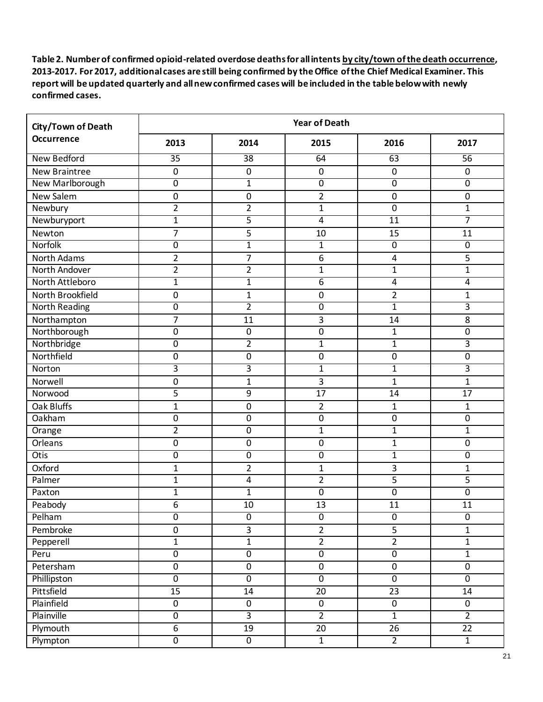| <b>City/Town of Death</b> | <b>Year of Death</b> |                  |                  |                  |                |  |
|---------------------------|----------------------|------------------|------------------|------------------|----------------|--|
| Occurrence                | 2013                 | 2014             | 2015             | 2016             | 2017           |  |
| New Bedford               | $\overline{35}$      | 38               | 64               | 63               | 56             |  |
| <b>New Braintree</b>      | $\mathbf 0$          | $\boldsymbol{0}$ | $\pmb{0}$        | $\boldsymbol{0}$ | $\mathbf 0$    |  |
| New Marlborough           | $\mathbf 0$          | $\mathbf{1}$     | $\overline{0}$   | $\overline{0}$   | $\overline{0}$ |  |
| New Salem                 | $\mathbf 0$          | $\mathbf 0$      | $\overline{2}$   | $\mathbf 0$      | 0              |  |
| Newbury                   | $\overline{2}$       | $\overline{2}$   | $\overline{1}$   | $\mathbf 0$      | $\mathbf{1}$   |  |
| Newburyport               | $\mathbf{1}$         | 5                | 4                | $\overline{11}$  | 7              |  |
| Newton                    | $\overline{7}$       | 5                | 10               | 15               | 11             |  |
| Norfolk                   | $\overline{0}$       | $\mathbf{1}$     | 1                | $\overline{0}$   | $\overline{0}$ |  |
| North Adams               | $\overline{2}$       | 7                | 6                | 4                | 5              |  |
| North Andover             | 2                    | $\overline{2}$   | $\mathbf 1$      | $\mathbf{1}$     | $\mathbf 1$    |  |
| North Attleboro           | 1                    | $\mathbf 1$      | $\overline{6}$   | $\overline{4}$   | $\overline{4}$ |  |
| North Brookfield          | $\mathbf 0$          | $\mathbf{1}$     | $\boldsymbol{0}$ | $\overline{2}$   | 1              |  |
| <b>North Reading</b>      | $\overline{0}$       | $\overline{2}$   | $\overline{0}$   | $\overline{1}$   | $\overline{3}$ |  |
| Northampton               | $\overline{7}$       | 11               | 3                | 14               | 8              |  |
| Northborough              | $\mathbf 0$          | $\pmb{0}$        | $\mathbf 0$      | $\mathbf{1}$     | 0              |  |
| Northbridge               | $\overline{0}$       | $\overline{2}$   | $\mathbf 1$      | $\mathbf{1}$     | 3              |  |
| Northfield                | $\boldsymbol{0}$     | $\pmb{0}$        | $\pmb{0}$        | $\boldsymbol{0}$ | $\pmb{0}$      |  |
| Norton                    | 3                    | $\overline{3}$   | 1                | $\mathbf{1}$     | 3              |  |
| Norwell                   | $\mathbf 0$          | $\mathbf{1}$     | 3                | $\mathbf{1}$     | $\mathbf{1}$   |  |
| Norwood                   | 5                    | 9                | 17               | 14               | 17             |  |
| Oak Bluffs                | $\mathbf{1}$         | $\mathbf 0$      | $\overline{2}$   | 1                | 1              |  |
| Oakham                    | $\mathbf 0$          | $\boldsymbol{0}$ | $\pmb{0}$        | $\mathbf 0$      | 0              |  |
| Orange                    | $\overline{2}$       | $\overline{0}$   | $\mathbf{1}$     | $\mathbf{1}$     | $\mathbf{1}$   |  |
| Orleans                   | $\boldsymbol{0}$     | $\pmb{0}$        | $\pmb{0}$        | $\mathbf{1}$     | 0              |  |
| <b>Otis</b>               | $\mathbf 0$          | $\boldsymbol{0}$ | $\mathbf 0$      | $\mathbf{1}$     | 0              |  |
| Oxford                    | $\mathbf{1}$         | $\overline{2}$   | $\mathbf 1$      | 3                | $\mathbf{1}$   |  |
| Palmer                    | 1                    | 4                | $\overline{2}$   | 5                | 5              |  |
| Paxton                    | $\mathbf 1$          | $\mathbf{1}$     | $\pmb{0}$        | $\boldsymbol{0}$ | $\mathbf 0$    |  |
| Peabody                   | 6                    | 10               | 13               | 11               | 11             |  |
| Pelham                    | $\overline{0}$       | $\overline{0}$   | $\overline{0}$   | $\overline{0}$   | $\overline{0}$ |  |
| Pembroke                  | $\pmb{0}$            | $\overline{3}$   | $\overline{2}$   | $\overline{5}$   | $\mathbf{1}$   |  |
| Pepperell                 | $\overline{1}$       | $\mathbf 1$      | $\overline{2}$   | $\overline{2}$   | $\mathbf{1}$   |  |
| Peru                      | $\overline{0}$       | $\overline{0}$   | $\overline{0}$   | $\overline{0}$   | $\overline{1}$ |  |
| Petersham                 | $\pmb{0}$            | $\overline{0}$   | $\overline{0}$   | $\pmb{0}$        | $\overline{0}$ |  |
| Phillipston               | $\overline{0}$       | $\overline{0}$   | $\overline{0}$   | $\overline{0}$   | $\overline{0}$ |  |
| Pittsfield                | 15                   | 14               | 20               | 23               | 14             |  |
| Plainfield                | $\pmb{0}$            | $\pmb{0}$        | $\pmb{0}$        | $\pmb{0}$        | $\mathbf 0$    |  |
| Plainville                | $\overline{0}$       | $\overline{3}$   | $\overline{2}$   | $\overline{1}$   | $\overline{2}$ |  |
| Plymouth                  | 6                    | 19               | 20               | 26               | 22             |  |
| Plympton                  | $\overline{0}$       | $\overline{0}$   | $\overline{1}$   | $\overline{2}$   | $\overline{1}$ |  |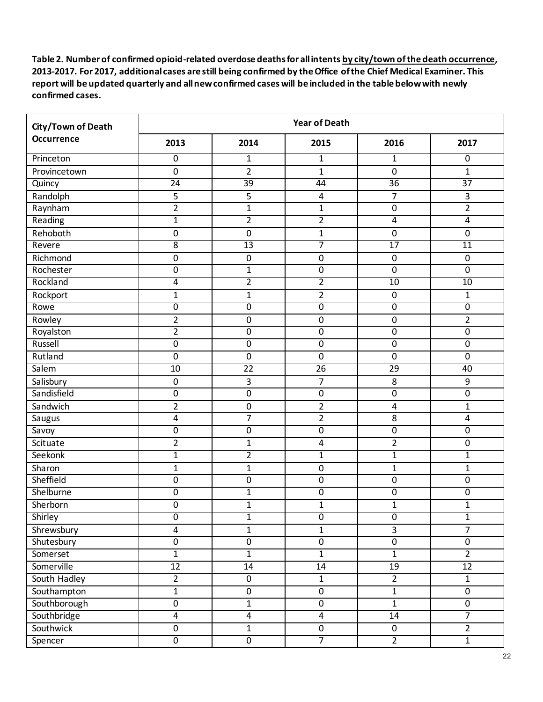| City/Town of Death | <b>Year of Death</b> |                  |                  |                  |                 |  |
|--------------------|----------------------|------------------|------------------|------------------|-----------------|--|
| Occurrence         | 2013                 | 2014             | 2015             | 2016             | 2017            |  |
| Princeton          | $\overline{0}$       | $\mathbf{1}$     | $\mathbf{1}$     | $\mathbf{1}$     | $\overline{0}$  |  |
| Provincetown       | $\pmb{0}$            | $\overline{2}$   | $\overline{1}$   | $\mathbf 0$      | $\mathbf{1}$    |  |
| Quincy             | $\overline{24}$      | $\overline{39}$  | 44               | $\overline{36}$  | $\overline{37}$ |  |
| Randolph           | $\overline{5}$       | 5                | 4                | $\overline{7}$   | 3               |  |
| Raynham            | $\overline{2}$       | $\mathbf{1}$     | $\mathbf 1$      | $\pmb{0}$        | $\overline{2}$  |  |
| Reading            | $\mathbf{1}$         | $\overline{2}$   | $\overline{2}$   | 4                | $\overline{4}$  |  |
| Rehoboth           | $\mathbf 0$          | $\boldsymbol{0}$ | $\mathbf{1}$     | $\mathbf 0$      | $\mathbf 0$     |  |
| Revere             | $\overline{8}$       | $\overline{13}$  | 7                | 17               | $\overline{11}$ |  |
| Richmond           | $\boldsymbol{0}$     | $\pmb{0}$        | $\boldsymbol{0}$ | $\boldsymbol{0}$ | $\mathbf 0$     |  |
| Rochester          | $\mathbf 0$          | $\mathbf{1}$     | $\boldsymbol{0}$ | $\mathbf 0$      | $\mathbf 0$     |  |
| Rockland           | 4                    | $\overline{2}$   | $\overline{2}$   | $\overline{10}$  | 10              |  |
| Rockport           | $\mathbf{1}$         | $\mathbf{1}$     | $\overline{2}$   | $\boldsymbol{0}$ | 1               |  |
| Rowe               | $\overline{0}$       | $\overline{0}$   | $\overline{0}$   | $\overline{0}$   | $\overline{0}$  |  |
| Rowley             | $\overline{2}$       | $\boldsymbol{0}$ | $\pmb{0}$        | $\boldsymbol{0}$ | $\overline{2}$  |  |
| Royalston          | $\overline{2}$       | $\boldsymbol{0}$ | $\boldsymbol{0}$ | $\boldsymbol{0}$ | $\mathbf 0$     |  |
| Russell            | $\overline{0}$       | $\overline{0}$   | $\overline{0}$   | $\overline{0}$   | $\overline{0}$  |  |
| Rutland            | $\mathbf 0$          | $\pmb{0}$        | $\boldsymbol{0}$ | $\boldsymbol{0}$ | $\pmb{0}$       |  |
| Salem              | $\overline{10}$      | $\overline{22}$  | $\overline{26}$  | 29               | 40              |  |
| Salisbury          | $\boldsymbol{0}$     | 3                | $\overline{7}$   | 8                | $\overline{9}$  |  |
| Sandisfield        | $\boldsymbol{0}$     | $\mathbf 0$      | $\mathbf 0$      | $\mathbf 0$      | $\mathbf 0$     |  |
| Sandwich           | $\overline{2}$       | $\pmb{0}$        | $\overline{2}$   | 4                | 1               |  |
| Saugus             | 4                    | $\overline{7}$   | $\overline{2}$   | 8                | 4               |  |
| Savoy              | $\overline{0}$       | $\overline{0}$   | $\overline{0}$   | $\mathbf 0$      | $\overline{0}$  |  |
| Scituate           | $\overline{2}$       | $\mathbf{1}$     | $\pmb{4}$        | $\overline{2}$   | 0               |  |
| Seekonk            | $\mathbf{1}$         | $\overline{2}$   | $\overline{1}$   | $\mathbf{1}$     | $\mathbf 1$     |  |
| Sharon             | $\mathbf{1}$         | $\mathbf{1}$     | $\mathbf 0$      | $\mathbf{1}$     | $\mathbf{1}$    |  |
| Sheffield          | $\boldsymbol{0}$     | $\pmb{0}$        | $\pmb{0}$        | $\boldsymbol{0}$ | $\pmb{0}$       |  |
| Shelburne          | $\pmb{0}$            | $\mathbf{1}$     | $\pmb{0}$        | 0                | 0               |  |
| Sherborn           | $\boldsymbol{0}$     | $\mathbf{1}$     | 1                | $\overline{1}$   | $\mathbf{1}$    |  |
| Shirley            | $\overline{0}$       | $\overline{1}$   | $\overline{0}$   | $\overline{0}$   | $\overline{1}$  |  |
| Shrewsbury         | $\overline{4}$       | $\mathbf{1}$     | $\mathbf 1$      | 3                | $\overline{7}$  |  |
| Shutesbury         | $\pmb{0}$            | $\pmb{0}$        | $\pmb{0}$        | $\pmb{0}$        | $\mathbf 0$     |  |
| Somerset           | $\overline{1}$       | $\overline{1}$   | $\overline{1}$   | $\overline{1}$   | $\overline{2}$  |  |
| Somerville         | 12                   | $14\,$           | 14               | 19               | 12              |  |
| South Hadley       | $\overline{2}$       | $\overline{0}$   | $\overline{1}$   | $\overline{2}$   | $\overline{1}$  |  |
| Southampton        | $\mathbf 1$          | $\pmb{0}$        | $\overline{0}$   | $\mathbf 1$      | $\mathbf 0$     |  |
| Southborough       | $\pmb{0}$            | $\mathbf 1$      | $\pmb{0}$        | $\mathbf{1}$     | $\mathbf 0$     |  |
| Southbridge        | $\overline{4}$       | $\overline{4}$   | $\overline{4}$   | 14               | $\overline{7}$  |  |
| Southwick          | $\pmb{0}$            | $\mathbf 1$      | $\pmb{0}$        | $\mathbf 0$      | $\overline{2}$  |  |
| Spencer            | $\overline{0}$       | $\overline{0}$   | $\overline{7}$   | $\overline{2}$   | $\overline{1}$  |  |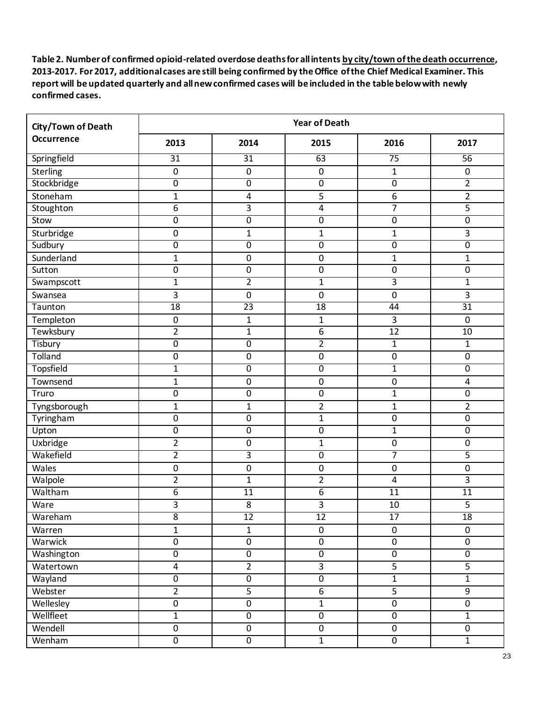| City/Town of Death | <b>Year of Death</b> |                  |                  |                 |                  |  |
|--------------------|----------------------|------------------|------------------|-----------------|------------------|--|
| <b>Occurrence</b>  | 2013                 | 2014             | 2015             | 2016            | 2017             |  |
| Springfield        | $\overline{31}$      | $\overline{31}$  | 63               | $\overline{75}$ | 56               |  |
| Sterling           | $\boldsymbol{0}$     | $\boldsymbol{0}$ | $\pmb{0}$        | $\mathbf{1}$    | $\pmb{0}$        |  |
| Stockbridge        | $\overline{0}$       | $\overline{0}$   | $\overline{0}$   | $\overline{0}$  | $\overline{2}$   |  |
| Stoneham           | $\mathbf{1}$         | 4                | 5                | 6               | $\overline{2}$   |  |
| Stoughton          | $\boldsymbol{6}$     | $\mathbf{3}$     | $\overline{4}$   | $\overline{7}$  | 5                |  |
| Stow               | $\mathbf 0$          | $\pmb{0}$        | $\pmb{0}$        | $\mathbf 0$     | $\overline{0}$   |  |
| Sturbridge         | 0                    | $\mathbf{1}$     | $\mathbf 1$      | $\mathbf{1}$    | 3                |  |
| Sudbury            | $\overline{0}$       | $\mathbf 0$      | $\overline{0}$   | $\mathbf 0$     | $\overline{0}$   |  |
| Sunderland         | $\mathbf{1}$         | 0                | $\boldsymbol{0}$ | $\mathbf{1}$    | $\mathbf{1}$     |  |
| Sutton             | 0                    | $\boldsymbol{0}$ | 0                | $\mathbf 0$     | $\pmb{0}$        |  |
| Swampscott         | $\mathbf{1}$         | $\overline{2}$   | $\overline{1}$   | $\overline{3}$  | $\mathbf{1}$     |  |
| Swansea            | 3                    | $\mathbf 0$      | $\boldsymbol{0}$ | $\mathbf 0$     | 3                |  |
| Taunton            | 18                   | $\overline{23}$  | 18               | 44              | $\overline{31}$  |  |
| Templeton          | $\boldsymbol{0}$     | $\mathbf{1}$     | 1                | 3               | $\pmb{0}$        |  |
| Tewksbury          | $\overline{2}$       | $\mathbf{1}$     | $\overline{6}$   | 12              | 10               |  |
| Tisbury            | $\overline{0}$       | $\overline{0}$   | $\overline{2}$   | $\overline{1}$  | $\mathbf{1}$     |  |
| Tolland            | $\boldsymbol{0}$     | $\pmb{0}$        | $\pmb{0}$        | 0               | $\pmb{0}$        |  |
| <b>Topsfield</b>   | 1                    | $\boldsymbol{0}$ | $\overline{0}$   | $\mathbf{1}$    | 0                |  |
| Townsend           | $\mathbf{1}$         | $\boldsymbol{0}$ | $\pmb{0}$        | 0               | 4                |  |
| Truro              | $\boldsymbol{0}$     | $\boldsymbol{0}$ | $\boldsymbol{0}$ | $\mathbf{1}$    | $\pmb{0}$        |  |
| Tyngsborough       | $\mathbf{1}$         | $\mathbf{1}$     | $\overline{2}$   | $\mathbf{1}$    | $\overline{2}$   |  |
| Tyringham          | $\boldsymbol{0}$     | $\boldsymbol{0}$ | $\overline{1}$   | $\mathbf 0$     | $\boldsymbol{0}$ |  |
| Upton              | $\boldsymbol{0}$     | 0                | $\pmb{0}$        | $\mathbf{1}$    | $\overline{0}$   |  |
| Uxbridge           | $\overline{2}$       | $\boldsymbol{0}$ | 1                | $\mathbf 0$     | $\pmb{0}$        |  |
| Wakefield          | $\overline{2}$       | $\overline{3}$   | $\pmb{0}$        | $\overline{7}$  | 5                |  |
| Wales              | $\boldsymbol{0}$     | $\boldsymbol{0}$ | $\boldsymbol{0}$ | $\mathbf 0$     | $\boldsymbol{0}$ |  |
| Walpole            | $\overline{2}$       | 1                | $\overline{2}$   | 4               | 3                |  |
| Waltham            | $\overline{6}$       | 11               | $\overline{6}$   | 11              | $\overline{11}$  |  |
| Ware               | 3                    | 8                | 3                | 10              | 5                |  |
| Wareham            | $\overline{8}$       | $\overline{12}$  | $\overline{12}$  | $\overline{17}$ | $\overline{18}$  |  |
| Warren             | $\mathbf{1}$         | $\mathbf{1}$     | $\mathbf 0$      | $\pmb{0}$       | $\mathbf 0$      |  |
| Warwick            | $\overline{0}$       | $\overline{0}$   | $\pmb{0}$        | $\pmb{0}$       | $\mathbf 0$      |  |
| Washington         | $\overline{0}$       | $\overline{0}$   | $\overline{0}$   | $\overline{0}$  | $\overline{0}$   |  |
| Watertown          | $\overline{4}$       | $\overline{2}$   | $\overline{3}$   | 5               | $\overline{5}$   |  |
| Wayland            | $\overline{0}$       | $\overline{0}$   | $\overline{0}$   | $\overline{1}$  | $\overline{1}$   |  |
| Webster            | $\overline{2}$       | 5                | $\overline{6}$   | 5               | 9                |  |
| Wellesley          | $\pmb{0}$            | $\pmb{0}$        | $\overline{1}$   | $\pmb{0}$       | $\overline{0}$   |  |
| Wellfleet          | $\overline{1}$       | $\overline{0}$   | $\overline{0}$   | $\overline{0}$  | $\overline{1}$   |  |
| Wendell            | $\boldsymbol{0}$     | $\pmb{0}$        | $\overline{0}$   | $\pmb{0}$       | $\boldsymbol{0}$ |  |
| Wenham             | $\overline{0}$       | $\overline{0}$   | $\overline{1}$   | $\overline{0}$  | $\overline{1}$   |  |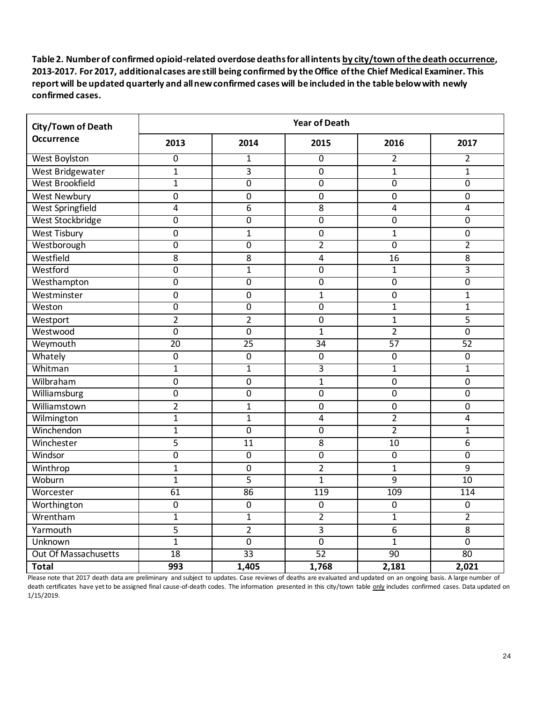| City/Town of Death<br><b>Occurrence</b> | <b>Year of Death</b> |                  |                |                  |                 |  |
|-----------------------------------------|----------------------|------------------|----------------|------------------|-----------------|--|
|                                         | 2013                 | 2014             | 2015           | 2016             | 2017            |  |
| <b>West Boylston</b>                    | $\overline{0}$       | $\mathbf{1}$     | $\overline{0}$ | $\overline{2}$   | 2               |  |
| West Bridgewater                        | $\mathbf{1}$         | $\overline{3}$   | $\mathbf 0$    | $\mathbf{1}$     | $\mathbf{1}$    |  |
| West Brookfield                         | $\overline{1}$       | $\overline{0}$   | $\overline{0}$ | $\overline{0}$   | $\overline{0}$  |  |
| West Newbury                            | $\mathbf 0$          | $\mathbf 0$      | $\mathbf 0$    | $\mathbf 0$      | $\mathbf 0$     |  |
| <b>West Springfield</b>                 | 4                    | 6                | 8              | $\overline{4}$   | $\overline{4}$  |  |
| West Stockbridge                        | $\overline{0}$       | $\overline{0}$   | $\overline{0}$ | $\overline{0}$   | $\overline{0}$  |  |
| <b>West Tisbury</b>                     | $\mathbf 0$          | $\mathbf{1}$     | $\overline{0}$ | $\mathbf{1}$     | $\pmb{0}$       |  |
| Westborough                             | $\overline{0}$       | $\overline{0}$   | $\overline{2}$ | $\overline{0}$   | $\overline{2}$  |  |
| Westfield                               | 8                    | 8                | $\overline{4}$ | 16               | 8               |  |
| Westford                                | $\mathbf 0$          | $\mathbf{1}$     | $\mathbf 0$    | $\mathbf{1}$     | 3               |  |
| Westhampton                             | $\overline{0}$       | $\overline{0}$   | $\overline{0}$ | $\overline{0}$   | $\overline{0}$  |  |
| Westminster                             | $\mathbf 0$          | $\mathbf 0$      | $\mathbf{1}$   | $\mathbf 0$      | $\mathbf{1}$    |  |
| Weston                                  | $\overline{0}$       | $\overline{0}$   | $\overline{0}$ | $\overline{1}$   | $\overline{1}$  |  |
| Westport                                | $\overline{2}$       | $\overline{2}$   | $\mathbf 0$    | $\mathbf{1}$     | 5               |  |
| Westwood                                | $\overline{0}$       | $\overline{0}$   | $\mathbf{1}$   | $\overline{2}$   | $\overline{0}$  |  |
| Weymouth                                | $\overline{20}$      | $\overline{25}$  | 34             | $\overline{57}$  | $\overline{52}$ |  |
| Whately                                 | $\boldsymbol{0}$     | $\boldsymbol{0}$ | $\mathbf 0$    | $\mathbf 0$      | $\mathbf 0$     |  |
| Whitman                                 | $\overline{1}$       | $\overline{1}$   | $\overline{3}$ | $\overline{1}$   | $\mathbf{1}$    |  |
| Wilbraham                               | $\mathbf 0$          | $\mathbf 0$      | $\mathbf{1}$   | $\mathbf 0$      | $\mathbf 0$     |  |
| Williamsburg                            | $\mathbf 0$          | $\mathbf 0$      | $\mathbf 0$    | $\mathbf 0$      | $\mathbf 0$     |  |
| Williamstown                            | $\overline{2}$       | $\mathbf{1}$     | $\mathbf 0$    | $\mathbf 0$      | $\overline{0}$  |  |
| Wilmington                              | $\mathbf{1}$         | $\mathbf{1}$     | $\overline{4}$ | $\overline{2}$   | 4               |  |
| Winchendon                              | $\mathbf{1}$         | $\mathbf 0$      | $\overline{0}$ | $\overline{2}$   | $\mathbf{1}$    |  |
| Winchester                              | 5                    | $\overline{11}$  | $\overline{8}$ | $\overline{10}$  | 6               |  |
| Windsor                                 | $\overline{0}$       | $\overline{0}$   | $\overline{0}$ | $\overline{0}$   | 0               |  |
| Winthrop                                | $\mathbf{1}$         | $\mathbf 0$      | $\overline{2}$ | $\mathbf{1}$     | 9               |  |
| Woburn                                  | $\mathbf{1}$         | 5                | $\mathbf 1$    | 9                | 10              |  |
| Worcester                               | $\overline{61}$      | 86               | 119            | 109              | 114             |  |
| Worthington                             | $\mathbf 0$          | $\mathbf 0$      | $\mathbf 0$    | $\mathbf 0$      | $\mathbf 0$     |  |
| Wrentham                                | $\overline{1}$       | $\overline{1}$   | $\overline{2}$ | $\overline{1}$   | $\overline{2}$  |  |
| Yarmouth                                | 5                    | $\overline{2}$   | 3              | $\boldsymbol{6}$ | $\overline{8}$  |  |
| Unknown                                 | $\mathbf{1}$         | $\overline{0}$   | $\overline{0}$ | $\mathbf{1}$     | $\overline{0}$  |  |
| <b>Out Of Massachusetts</b>             | 18                   | $\overline{33}$  | 52             | 90               | 80              |  |
| <b>Total</b>                            | 993                  | 1,405            | 1,768          | 2,181            | 2,021           |  |

Please note that 2017 death data are preliminary and subject to updates. Case reviews of deaths are evaluated and updated on an ongoing basis. A large number of death certificates have yet to be assigned final cause-of-death codes. The information presented in this city/town table only includes confirmed cases. Data updated on 1/15/2019.